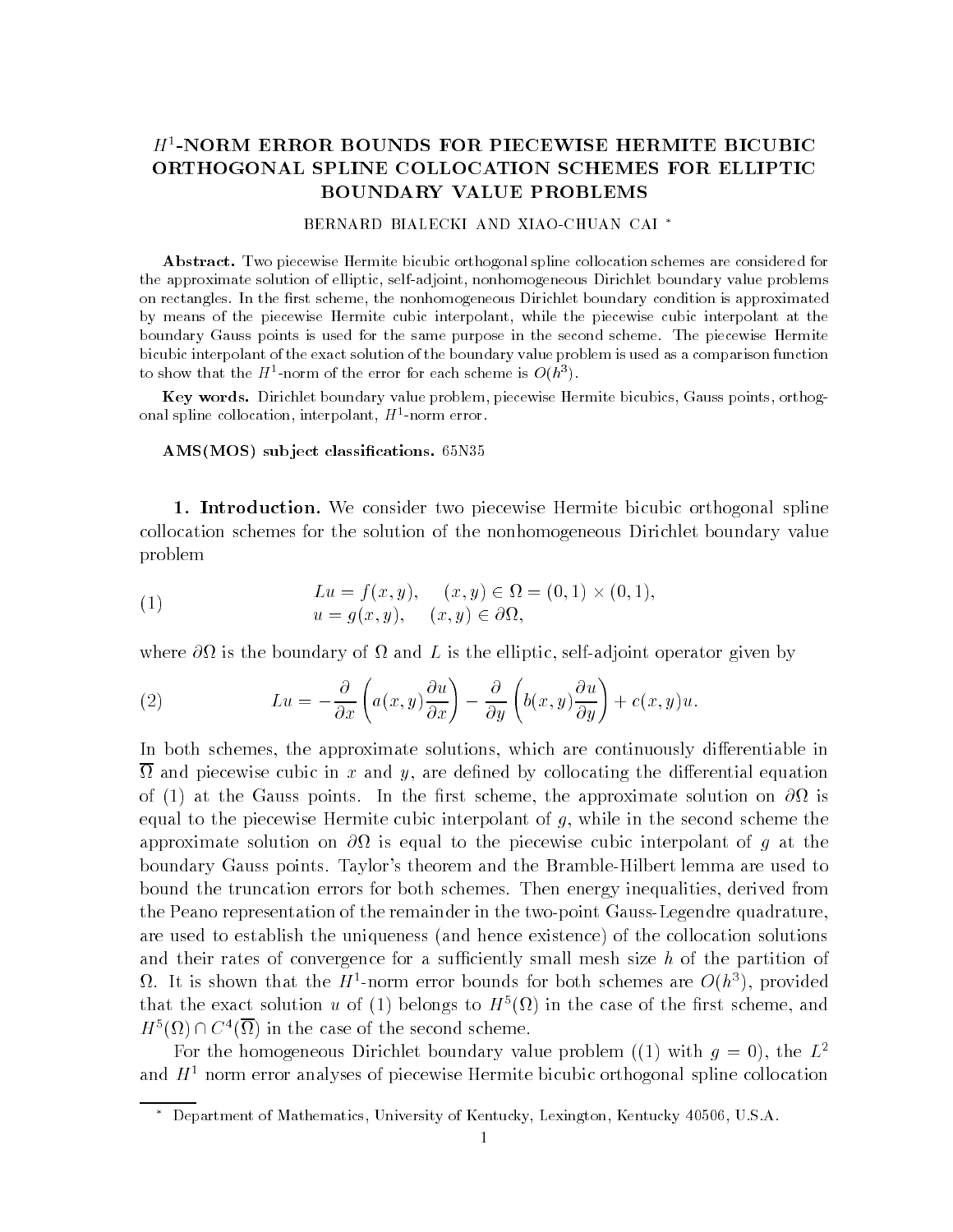## $H^1$ -NORM ERROR BOUNDS FOR PIECEWISE HERMITE BICUBIC ORTHOGONAL SPLINE COLLOCATION SCHEMES FOR ELLIPTIC BOUNDARY VALUE PROBLEMS

## BERNARD BIALECKI AND XIAO-CHUAN CAI<sup>\*</sup>

Abstract. Two piecewise Hermite bicubic orthogonal spline collocation schemes are considered for the approximate solution of elliptic, self-adjoint, nonhomogeneous Dirichlet boundary value problems on rectangles- in the non-homogeneous dirichlet boundary continues and in the non-homogeneous is approximated to by means of the piecewise Hermite cubic interpolant while the piecewise cubic interpolant at the boundary Gauss points is used for the same purpose in the second scheme- The piecewise Hermite bicubic interpolant of the exact solution of the boundary value problem is used as a comparison function to show that the  $H$  -horm of the error for each scheme is  $O(n^+)$ .

Key words. Dirichlet boundary value problem, piecewise Hermite bicubics, Gauss points, orthogonal spline collocation, interpolant, *H* =-norm error.

ams the start classication is the substantial control of the start of the start of the start of the start of t

- Introduction- We consider two piecewise Hermite bicubic orthogonal spline collocation schemes for the solution of the nonhomogeneous Dirichlet boundary value problem

(1) 
$$
Lu = f(x, y), \quad (x, y) \in \Omega = (0, 1) \times (0, 1),
$$

$$
u = g(x, y), \quad (x, y) \in \partial\Omega,
$$

where  $\partial\Omega$  is the boundary of  $\Omega$  and L is the elliptic, self-adjoint operator given by

(2) 
$$
Lu = -\frac{\partial}{\partial x}\left(a(x,y)\frac{\partial u}{\partial x}\right) - \frac{\partial}{\partial y}\left(b(x,y)\frac{\partial u}{\partial y}\right) + c(x,y)u.
$$

In both schemes the approximate solutions which are continuously di erentiable in and in and piecewise cubic in and we are denoted by collocating the distribution of the distribution of the di of - at the Gauss points In the rst scheme the approximate solution on is equal to the piecewise Hermite cubic interpolant of  $g$ , while in the second scheme the approximate solution on  $\partial\Omega$  is equal to the piecewise cubic interpolant of g at the boundary Gauss points. Taylor's theorem and the Bramble-Hilbert lemma are used to bound the truncation errors for both schemes. Then energy inequalities, derived from the Peano representation of the remainder in the two-point Gauss-Legendre quadrature, are used to established the uniqueness and hence existed the collocation solution solutions and the collocatio and their rates of convergence for a sufficiently small mesh size  $h$  of the partition of  $\Omega$ . It is snown that the  $H$  -norm error bounds for both schemes are  $O(n^+)$ , provided that the exact solution  $u$  of (1) belongs to  $H^-(\Omega)$  in the case of the first scheme, and  $H^{\circ}(\Omega) \cap C^{\circ}(\Omega)$  in the case of the second scheme.

For the homogeneous Dirichlet boundary value problem ((1) with  $q = 0$ ), the  $L^2$ and  $H<sup>1</sup>$  norm error analyses of piecewise Hermite bicubic orthogonal spline collocation

Department of Mathematics, University of Kentucky, Lexington, Kentucky 40500, U.S.A.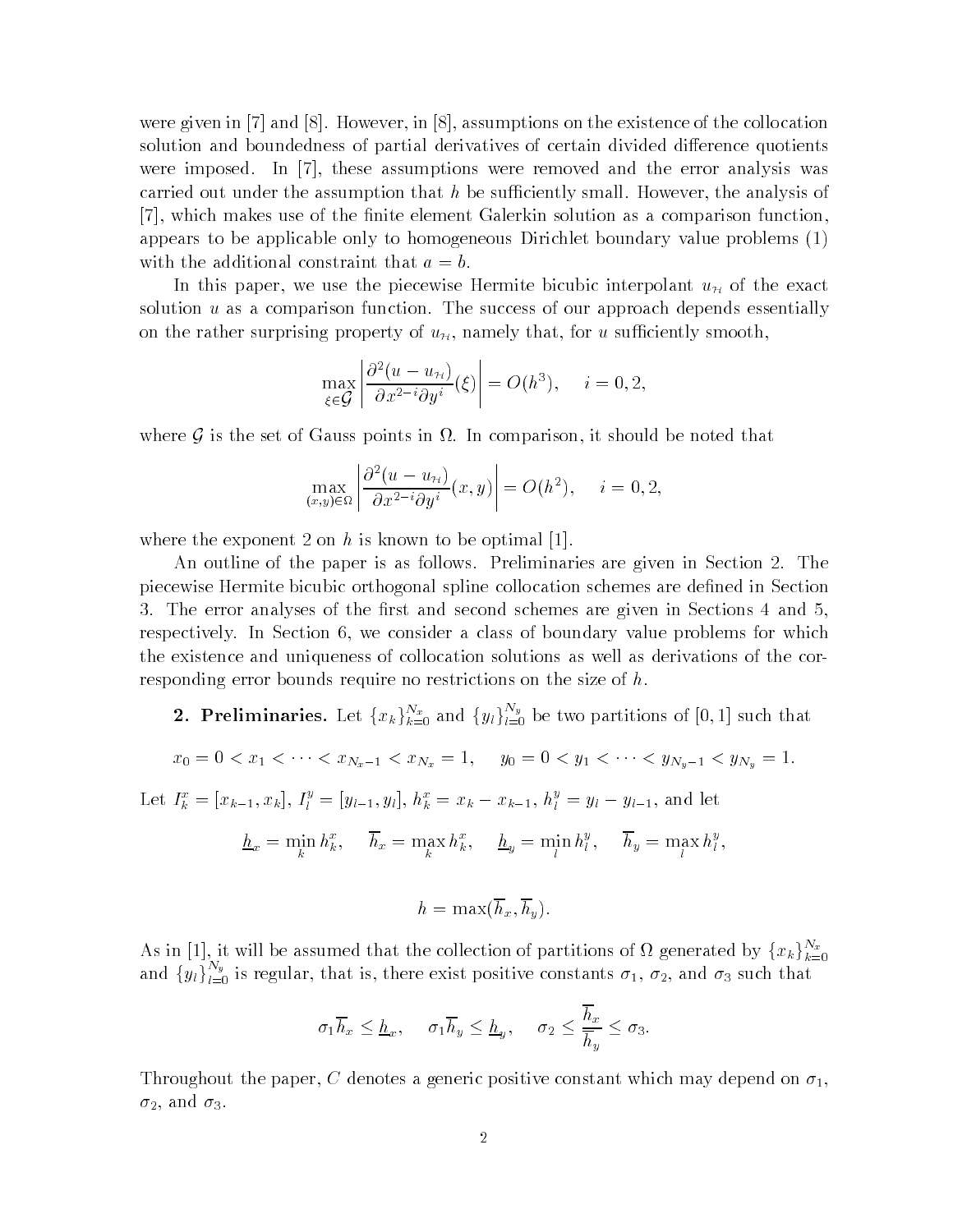were given in [7] and [8]. However, in [8], assumptions on the existence of the collocation solution and boundedness of partial derivatives of certain divided di erence quotients were imposed. In  $[7]$ , these assumptions were removed and the error analysis was carried out under the assumption that  $h$  be sufficiently small. However, the analysis of [7], which makes use of the finite element Galerkin solution as a comparison function, appears to be applicable only to homogeneous Dirichlet boundary value problems  $(1)$ with the additional constraint that  $a = b$ .

In this paper, we use the piecewise Hermite bicubic interpolant  $u_{\mathcal{H}}$  of the exact solution  $u$  as a comparison function. The success of our approach depends essentially on the rather surprising property of  $u_{\mathcal{H}}$ , namely that, for u sufficiently smooth,

$$
\max_{\xi \in \mathcal{G}} \left| \frac{\partial^2 (u - u_{\mathcal{H}})}{\partial x^{2-i} \partial y^i} (\xi) \right| = O(h^3), \quad i = 0, 2,
$$

where  $\mathcal G$  is the set of Gauss points in  $\Omega$ . In comparison, it should be noted that

$$
\max_{(x,y)\in\Omega} \left| \frac{\partial^2 (u - u_{\mathcal{H}})}{\partial x^{2-i} \partial y^i}(x, y) \right| = O(h^2), \quad i = 0, 2,
$$

where the exponent 2 on h is known to be optimal [1].

An outline of the paper is as follows. Preliminaries are given in Section 2. The piecewise Hermite bicubic orthogonal spline collocation schemes are defined in Section 3. The error analyses of the first and second schemes are given in Sections 4 and 5. respectively. In Section 6, we consider a class of boundary value problems for which the existence and uniqueness of collocation solutions as well as derivations of the cor responding error bounds require no restrictions on the size of  $h$ .

- **2. Preliminaries.** Let  $\{x_k\}_{k=0}^{N_x}$  and  $\{y_l\}_{l=0}^{N_y}$  be two partitions of [0, 1] such that
- $x_0 = 0 < x_1 < \cdots < x_{N_x 1} < x_{N_x} = 1$ ,  $y_0 = 0 < y_1 < \cdots < y_{N_y 1} < y_{N_y} = 1$ .

Let  $I_k^* = [x_{k-1}, x_k], I_l^* = [y_{l-1}, y_l], h_k^* = x_k - x_{k-1}, h_l^* = y_l - y_{l-1}$ , and let

$$
\underline{h}_x = \min_k h_k^x, \quad \overline{h}_x = \max_k h_k^x, \quad \underline{h}_y = \min_l h_l^y, \quad \overline{h}_y = \max_l h_l^y,
$$

$$
h=\max(\overline{h}_x,\overline{h}_y).
$$

As in [1], it will be assumed that the collection of partitions of  $\Omega$  generated by  $\{x_k\}_{k=0}^{N_x}$ and  $\{y_l\}_{l=0}^{I\{y_j\}}$  is regular, that is, there exist positive constants  $\sigma_1, \sigma_2$ , and  $\sigma_3$  such that

$$
\sigma_1 \overline{h}_x \leq \underline{h}_x, \quad \sigma_1 \overline{h}_y \leq \underline{h}_y, \quad \sigma_2 \leq \frac{\overline{h}_x}{\overline{h}_y} \leq \sigma_3.
$$

Throughout the paper, C denotes a generic positive constant which may depend on  $\sigma_1$ ,  $\sigma_2$ , and  $\sigma_3$ .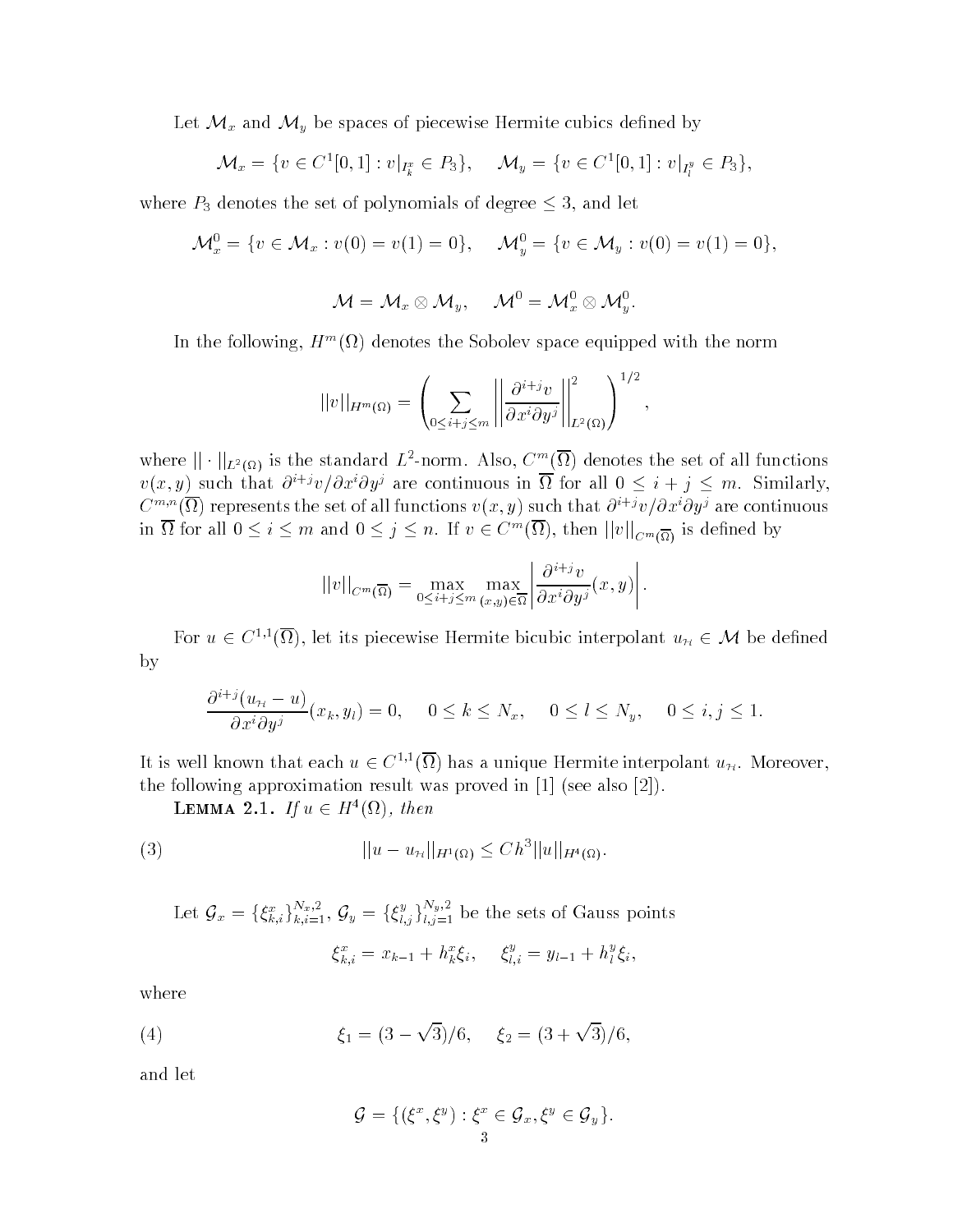Let  $\mathcal{M}_x$  and  $\mathcal{M}_y$  be spaces of piecewise Hermite cubics defined by

$$
\mathcal{M}_x = \{ v \in C^1[0,1] : v|_{I_k^x} \in P_3 \}, \quad \mathcal{M}_y = \{ v \in C^1[0,1] : v|_{I_l^y} \in P_3 \},
$$

where  $P_3$  denotes the set of polynomials of degree  $\leq$  3, and let

$$
\mathcal{M}_x^0 = \{ v \in \mathcal{M}_x : v(0) = v(1) = 0 \}, \quad \mathcal{M}_y^0 = \{ v \in \mathcal{M}_y : v(0) = v(1) = 0 \},
$$

$$
\mathcal{M} = \mathcal{M}_x \otimes \mathcal{M}_y, \quad \mathcal{M}^0 = \mathcal{M}_x^0 \otimes \mathcal{M}_y^0.
$$

In the following,  $H^m(M)$  denotes the Sobolev space equipped with the norm

$$
||v||_{H^m(\Omega)} = \left(\sum_{0 \leq i+j \leq m} \left\| \frac{\partial^{i+j}v}{\partial x^i \partial y^j} \right\|_{L^2(\Omega)}^2 \right)^{1/2},
$$

where  $||\cdot||_{L^2(\Omega)}$  is the standard  $L^2$ -norm. Also,  $C^m(\Omega)$  denotes the set of all functions  $v(x, y)$  such that  $\partial^{i+j}v/\partial x^i \partial y^j$  are continuous in  $\Omega$  for all  $0 \leq i+j \leq m$ . Similarly, C  $\sigma$  (1) represents the set of all functions  $v(x, y)$  such that  $\sigma$   $\rightarrow$   $v/\sigma x$   $\sigma y$  are continuous in  $\Omega$  for all  $0 \leq i \leq m$  and  $0 \leq j \leq n$ . If  $v \in C^m(\Omega)$ , then  $||v||_{C^m(\overline{\Omega})}$  is defined by

$$
||v||_{C^m(\overline{\Omega})} = \max_{0 \leq i+j \leq m} \max_{(x,y) \in \overline{\Omega}} \left| \frac{\partial^{i+j} v}{\partial x^i \partial y^j}(x,y) \right|.
$$

For  $u \in C^{1,1}(\Omega)$ , let its piecewise Hermite bicubic interpolant  $u_{\mathcal{H}} \in \mathcal{M}$  be defined by

$$
\frac{\partial^{i+j}(u_{\mathcal{H}}-u)}{\partial x^i \partial y^j}(x_k, y_l) = 0, \quad 0 \le k \le N_x, \quad 0 \le l \le N_y, \quad 0 \le i, j \le 1.
$$

It is well known that each  $u \in C^{1,1}(\Omega)$  has a unique Hermite interpolant  $u_{\mathcal{H}}$ . Moreover, the following approximation result was proved in see also -

**LEMMA** 2.1. If  $u \in H^{\pi}(\Omega)$ , then

(3) 
$$
||u - u_{\mathcal{H}}||_{H^1(\Omega)} \leq C h^3 ||u||_{H^4(\Omega)}.
$$

Let 
$$
\mathcal{G}_x = \{\xi_{k,i}^x\}_{k,i=1}^{N_x,2}
$$
,  $\mathcal{G}_y = \{\xi_{l,j}^y\}_{l,j=1}^{N_y,2}$  be the sets of Gauss points  

$$
\xi_{k,i}^x = x_{k-1} + h_k^x \xi_i, \quad \xi_{l,i}^y = y_{l-1} + h_l^y \xi_i,
$$

where

(4) 
$$
\xi_1 = (3 - \sqrt{3})/6, \quad \xi_2 = (3 + \sqrt{3})/6,
$$

and let

$$
\mathcal{G} = \{ (\xi^x, \xi^y) : \xi^x \in \mathcal{G}_x, \xi^y \in \mathcal{G}_y \}.
$$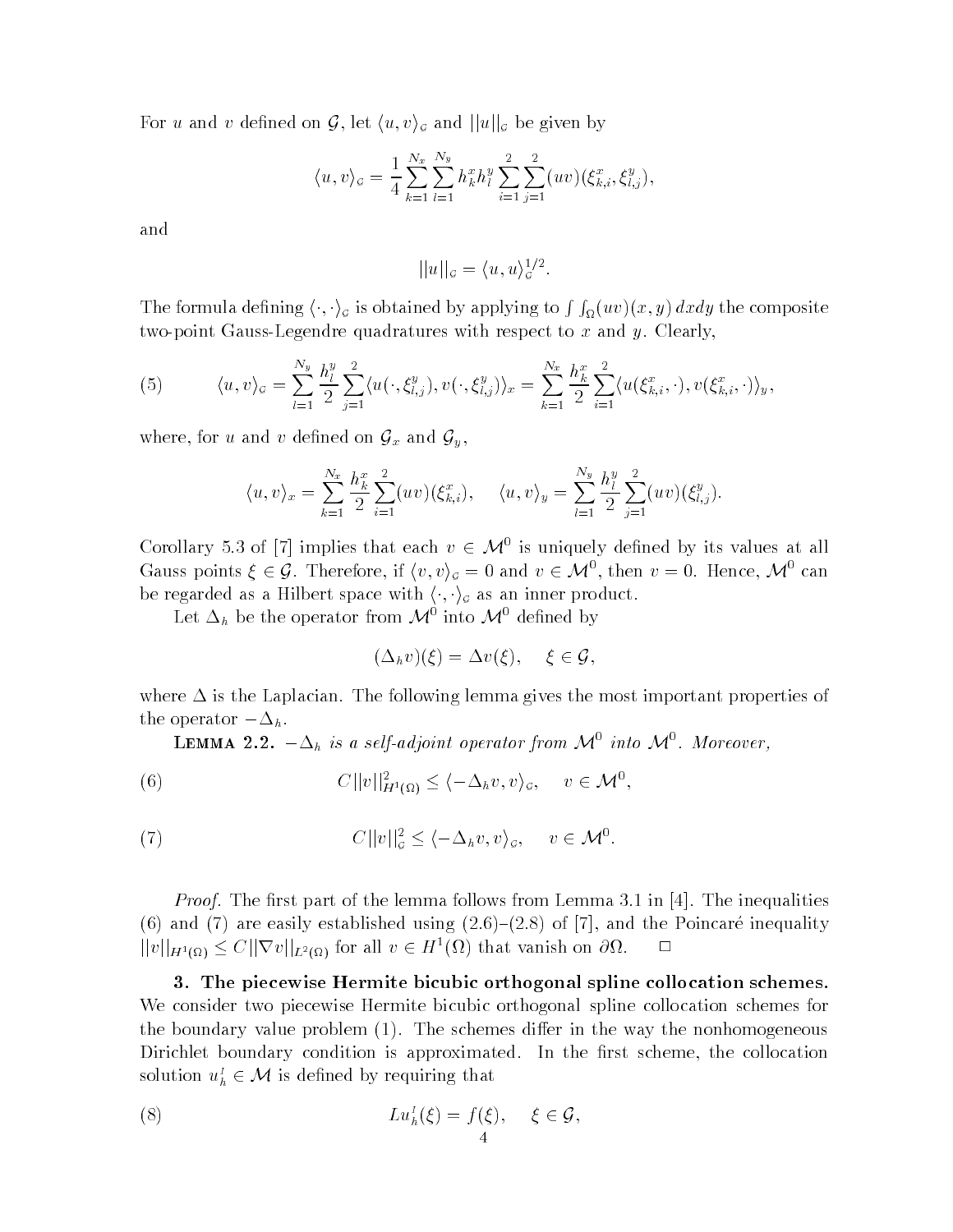For u and v defined on G, let  $\langle u, v \rangle_{\mathcal{G}}$  and  $||u||_{\mathcal{G}}$  be given by

$$
\langle u, v \rangle_{\mathcal{G}} = \frac{1}{4} \sum_{k=1}^{N_x} \sum_{l=1}^{N_y} h_k^x h_l^y \sum_{i=1}^2 \sum_{j=1}^2 (uv) (\xi_{k,i}^x, \xi_{l,j}^y),
$$

and

$$
||u||_{\mathcal{G}} = \langle u, u \rangle_{\mathcal{G}}^{1/2}.
$$

The formula defining  $\langle\cdot,\cdot\rangle_\sigma$  is obtained by applying to  $\int\int_\Omega (uv)(x,y)\,dxdy$  the composite two-point Gauss-Legendre quadratures with respect to  $x$  and  $y$ . Clearly,

(5) 
$$
\langle u, v \rangle_{\mathcal{G}} = \sum_{l=1}^{N_y} \frac{h_l^y}{2} \sum_{j=1}^2 \langle u(\cdot, \xi_{l,j}^y), v(\cdot, \xi_{l,j}^y) \rangle_x = \sum_{k=1}^{N_x} \frac{h_k^x}{2} \sum_{i=1}^2 \langle u(\xi_{k,i}^x, \cdot), v(\xi_{k,i}^x, \cdot) \rangle_y,
$$

where, for u and v defined on  $\mathcal{G}_x$  and  $\mathcal{G}_y$ ,

$$
\langle u, v \rangle_x = \sum_{k=1}^{N_x} \frac{h_k^x}{2} \sum_{i=1}^2 (uv)(\xi_{k,i}^x), \quad \langle u, v \rangle_y = \sum_{l=1}^{N_y} \frac{h_l^y}{2} \sum_{j=1}^2 (uv)(\xi_{l,j}^y).
$$

Corollary 5.3 of [7] implies that each  $v \in \mathcal{M}^0$  is uniquely defined by its values at all Gauss points  $\xi \in \mathcal{G}$ . Therefore, if  $\langle v, v \rangle_{\mathcal{G}} = 0$  and  $v \in \mathcal{M}^0$ , then  $v = 0$ . Hence,  $\mathcal{M}^0$  can be regarded as a Hilbert space with  $\langle \cdot, \cdot \rangle_{\mathcal{G}}$  as an inner product.

Let  $\Delta_h$  be the operator from  $\mathcal{M}^0$  into  $\mathcal{M}^0$  defined by

$$
(\Delta_h v)(\xi) = \Delta v(\xi), \quad \xi \in \mathcal{G},
$$

where  $\Delta$  is the Laplacian. The following lemma gives the most important properties of  $_{\text{t}}$  operator  $-\Delta_h$ .

**LEMMA** 2.2.  $-\Delta_h$  is a self-adjoint operator from  $\mathcal{M}^0$  into  $\mathcal{M}^0$ . Moreover,

(6) 
$$
C||v||_{H^1(\Omega)}^2 \le \langle -\Delta_h v, v \rangle_{\mathcal{G}}, \quad v \in \mathcal{M}^0,
$$

(7) 
$$
C||v||_{\mathcal{G}}^{2} \leq \langle -\Delta_{h}v, v\rangle_{\mathcal{G}}, \quad v \in \mathcal{M}^{0}.
$$

Proof- The rst part of the lemma follows from Lemma  in  The inequalities  $\{ \cdots \}$  and  $\{ \cdots \}$  . The poincare internal  $\{ \cdots \}$   $\{ \cdots \}$  , where  $\cdots$  is and the Poincare internal  $\{ \cdots \}$  $||v||_{H^1(\Omega)} \leq C||\nabla v||_{L^2(\Omega)}$  for all  $v \in H^1(\Omega)$  that vanish on  $\partial\Omega$ .

- The piecewise Hermite bicubic orthogonal spline collocation schemes-We consider two piecewise Hermite bicubic orthogonal spline collocation schemes for the boundary value problem - The schemes di er in the way the nonhomogeneous Dirichlet boundary condition is approximated. In the first scheme, the collocation solution  $u_h^I \in \mathcal{M}$  is defined by requiring that

(8) 
$$
Lu_h^1(\xi) = f(\xi), \quad \xi \in \mathcal{G},
$$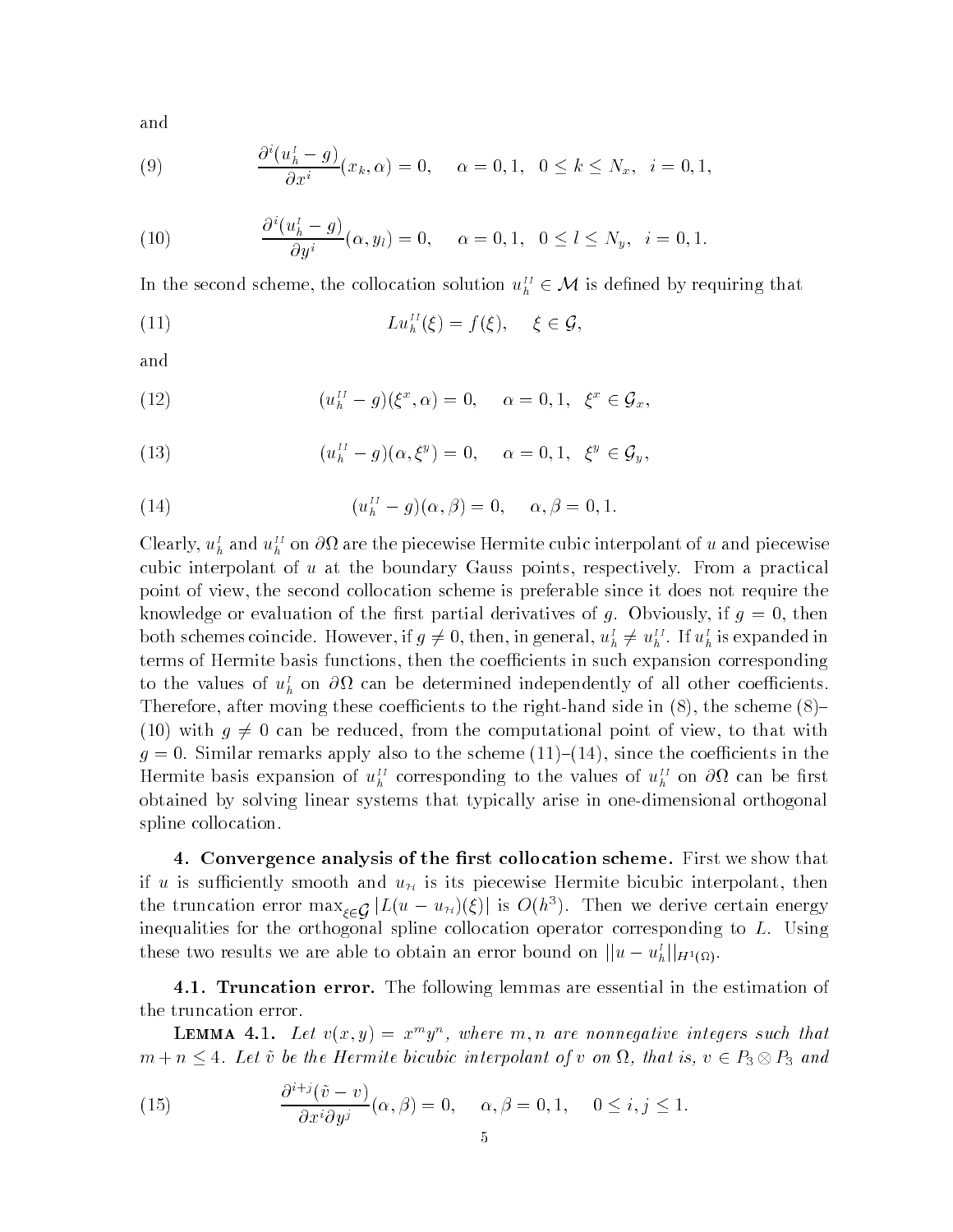and

(9) 
$$
\frac{\partial^{i}(u_{h}^{I}-g)}{\partial x^{i}}(x_{k}, \alpha) = 0, \quad \alpha = 0, 1, \quad 0 \leq k \leq N_{x}, \quad i = 0, 1,
$$

(10) 
$$
\frac{\partial^i(u_h^l - g)}{\partial y^i}(\alpha, y_l) = 0, \quad \alpha = 0, 1, 0 \le l \le N_y, \quad i = 0, 1.
$$

In the second scheme, the collocation solution  $u_h^H \in \mathcal{M}$  is defined by requiring that

(11) 
$$
Lu_h^{II}(\xi) = f(\xi), \quad \xi \in \mathcal{G},
$$

and

(12) 
$$
(u_h^{II} - g)(\xi^x, \alpha) = 0, \quad \alpha = 0, 1, \ \xi^x \in \mathcal{G}_x,
$$

(13) 
$$
(u_h^{II} - g)(\alpha, \xi^y) = 0, \quad \alpha = 0, 1, \ \xi^y \in \mathcal{G}_y,
$$

(14) 
$$
(u_h^{II} - g)(\alpha, \beta) = 0, \quad \alpha, \beta = 0, 1.
$$

Clearly,  $u_h^I$  and  $u_h^{II}$  on  $\partial\Omega$  are the piecewise Hermite cubic interpolant of u and piecewise cubic interpolant of  $u$  at the boundary Gauss points, respectively. From a practical point of view the second collocation scheme is preferable since it does not require the knowledge or evaluation of the first partial derivatives of g. Obviously, if  $g = 0$ , then both schemes coincide. However, if  $g \neq 0$ , then, in general,  $u_h^I \neq u_h^{II}$ . If  $u_h^I$  is expanded in terms of Hermite basis functions, then the coefficients in such expansion corresponding to the values of  $u_h^I$  on  $\partial\Omega$  can be determined independently of all other coefficients. Therefore after moving these coecients to the righthand side in - the scheme - (10) with  $g \neq 0$  can be reduced, from the computational point of view, to that with g sources the similar replies that the scheme also the scheme scheme scheme and the scheme Hermite basis expansion of  $u_h^H$  corresponding to the values of  $u_h^H$  on  $\partial\Omega$  can be first obtained by solving linear systems that typically arise in one-dimensional orthogonal spline collocation

- Convergence analysis of the rst collocation scheme- First we show that if u is sufficiently smooth and  $u_{\mathcal{H}}$  is its piecewise Hermite bicubic interpolant, then the truncation error max $_{\xi \in \mathcal{G}}|L(u - u_{\mathcal{H}})(\xi)|$  is  $O(h^3)$ . Then we derive certain energy inequalities for the orthogonal spline collocation operator corresponding to L Using these two results we are able to obtain an error bound on  $||u - u_h||_{H^1(\Omega)}$ .

-- Truncation error- The following lemmas are essential in the estimation of the truncation error

**LEMMA** 4.1. Let  $v(x, y) = x^{\alpha}y^{\alpha}$ , where  $m, n$  are nonnegative integers such that  $m + n \leq 4$ . Let  $\tilde{v}$  be the Hermite bicubic interpolant of v on  $\Omega$ , that is,  $v \in P_3 \otimes P_3$  and

(15) 
$$
\frac{\partial^{i+j}(\tilde{v}-v)}{\partial x^{i}\partial y^{j}}(\alpha,\beta)=0, \quad \alpha,\beta=0,1, \quad 0\leq i,j\leq 1.
$$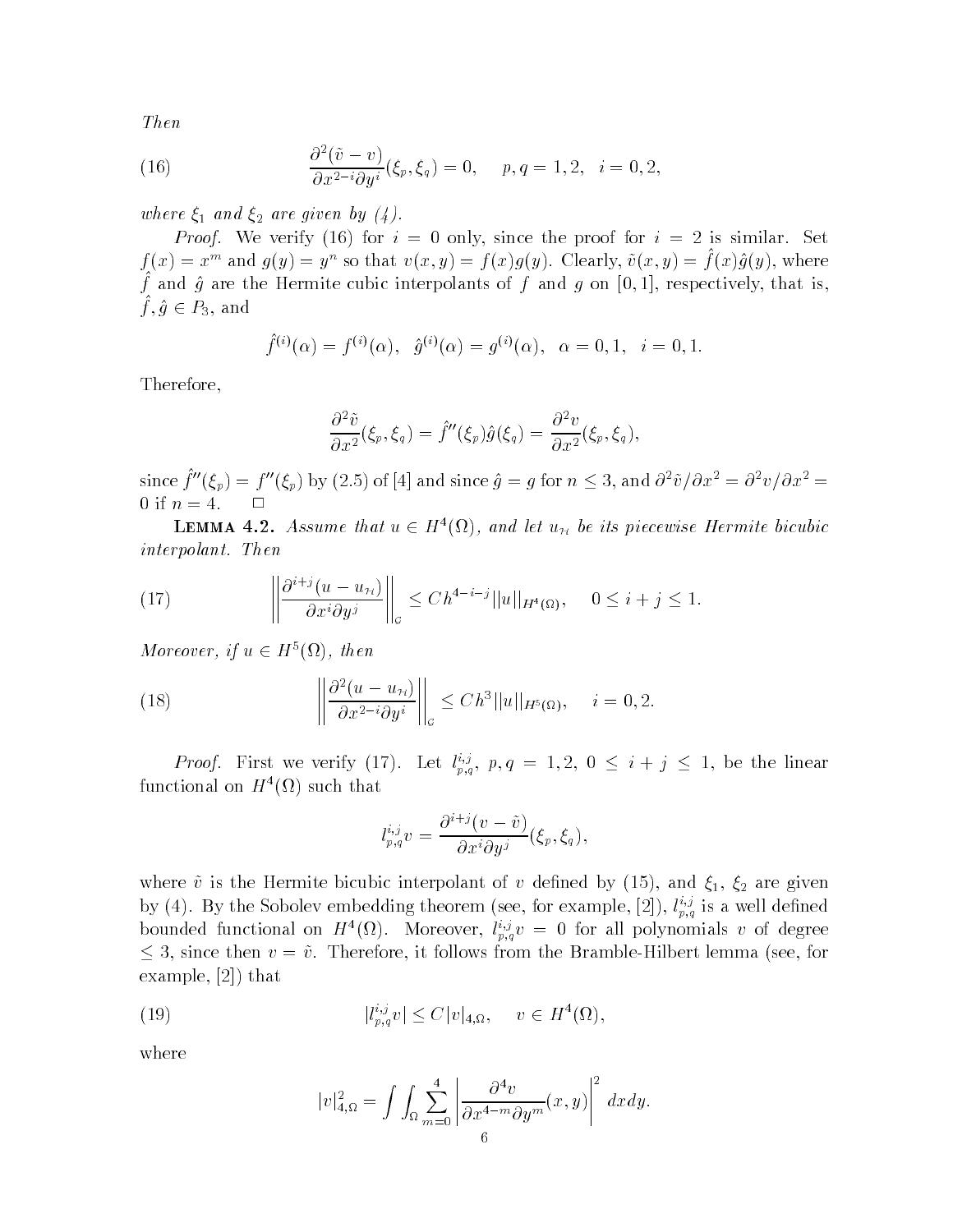Then

(16) 
$$
\frac{\partial^2(\tilde{v}-v)}{\partial x^{2-i}\partial y^i}(\xi_p,\xi_q) = 0, \quad p,q = 1,2, \quad i = 0,2,
$$

where  $\xi_1$  and  $\xi_2$  are given by (4).

. For interesting the proof-form in the proof for interest  $\mathbf{r}$  is since the proof for interest  $\mathbf{r}$  $f(x) = x^m$  and  $g(y) = y^m$  so that  $v(x, y) = f(x)g(y)$ . Clearly,  $v(x, y) = f(x)g(y)$ , where  $f$  and  $g$  are the Hermite cubic interpolants or  $f$  and  $g$  on  $g$ ,  $1$ , respectively, that is,  $f,g\in P_3,$  and

$$
\hat{f}^{(i)}(\alpha) = f^{(i)}(\alpha), \quad \hat{g}^{(i)}(\alpha) = g^{(i)}(\alpha), \quad \alpha = 0, 1, \quad i = 0, 1.
$$

Therefore

$$
\frac{\partial^2 \tilde{v}}{\partial x^2}(\xi_p, \xi_q) = \hat{f}''(\xi_p)\hat{g}(\xi_q) = \frac{\partial^2 v}{\partial x^2}(\xi_p, \xi_q),
$$

since  $f''(\xi_n) = f''(\xi_n)$  by (2.5) of [4] and since  $\hat{g} = g$  for  $n \leq 3$ , and  $\partial^2 \tilde{v}/\partial x^2 = \partial^2 v/\partial x^2 =$ 0 if  $n = 4$ .  $\Box$ 

**LEMMA** 4.2. Assume that  $u \in H^{\infty}(\Omega)$ , and let  $u_H$  be its piecewise Hermite bicubic interpretation of  $\mathbf{I}$  interpretation of  $\mathbf{I}$ 

(17) 
$$
\left\| \frac{\partial^{i+j} (u - u_{\mathcal{H}})}{\partial x^i \partial y^j} \right\|_{\mathcal{G}} \leq C h^{4-i-j} ||u||_{H^4(\Omega)}, \quad 0 \leq i+j \leq 1.
$$

Moreover, if  $u \in H^{\circ}(\Omega)$ , then

(18) 
$$
\left\| \frac{\partial^2 (u - u_{\mathcal{H}})}{\partial x^{2-i} \partial y^i} \right\|_{\mathcal{G}} \leq C h^3 ||u||_{H^5(\Omega)}, \quad i = 0, 2.
$$

*Proof.* First we verify (17). Let  $l_{n,q}^{i,j}$ ,  $p,q = 1,2, 0 \le i+j \le 1$ , be the linear  $\tt{t}$ unctional on  $H^-(M)$  such that

$$
l_{p,q}^{i,j}v = \frac{\partial^{i+j}(v-\tilde{v})}{\partial x^i \partial y^j}(\xi_p, \xi_q),
$$

where  $\mathbf{v}$  is the Hermite bicubic interpolant of v denotes  $\mathbf{v}$  and  $\mathbf{v}$  and  $\mathbf{v}$ by  $(4)$ . By the Sobolev embedding theorem (see, for example, [2]),  $l_{n,a}^{\omega}$  is a well defined bounded functional on  $H^-(M)$ . Moreover,  $i_{p,q}^{\infty}v = 0$  for all polynomials v of degree  $\leq$  3, since then  $v = \tilde{v}$ . Therefore, it follows from the Bramble-Hilbert lemma (see, for  $\sim$  the statistic  $\sim$  that is the statistic statistic statistic statistic statistic statistic statistic statistic statistic statistic statistic statistic statistic statistic statistic statistic statistic statistic stati

(19) 
$$
|l_{p,q}^{i,j}v| \leq C|v|_{4,\Omega}, \quad v \in H^{4}(\Omega),
$$

where

$$
|v|_{4,\Omega}^2 = \int \int_{\Omega} \sum_{m=0}^4 \left| \frac{\partial^4 v}{\partial x^{4-m} \partial y^m} (x, y) \right|^2 dx dy.
$$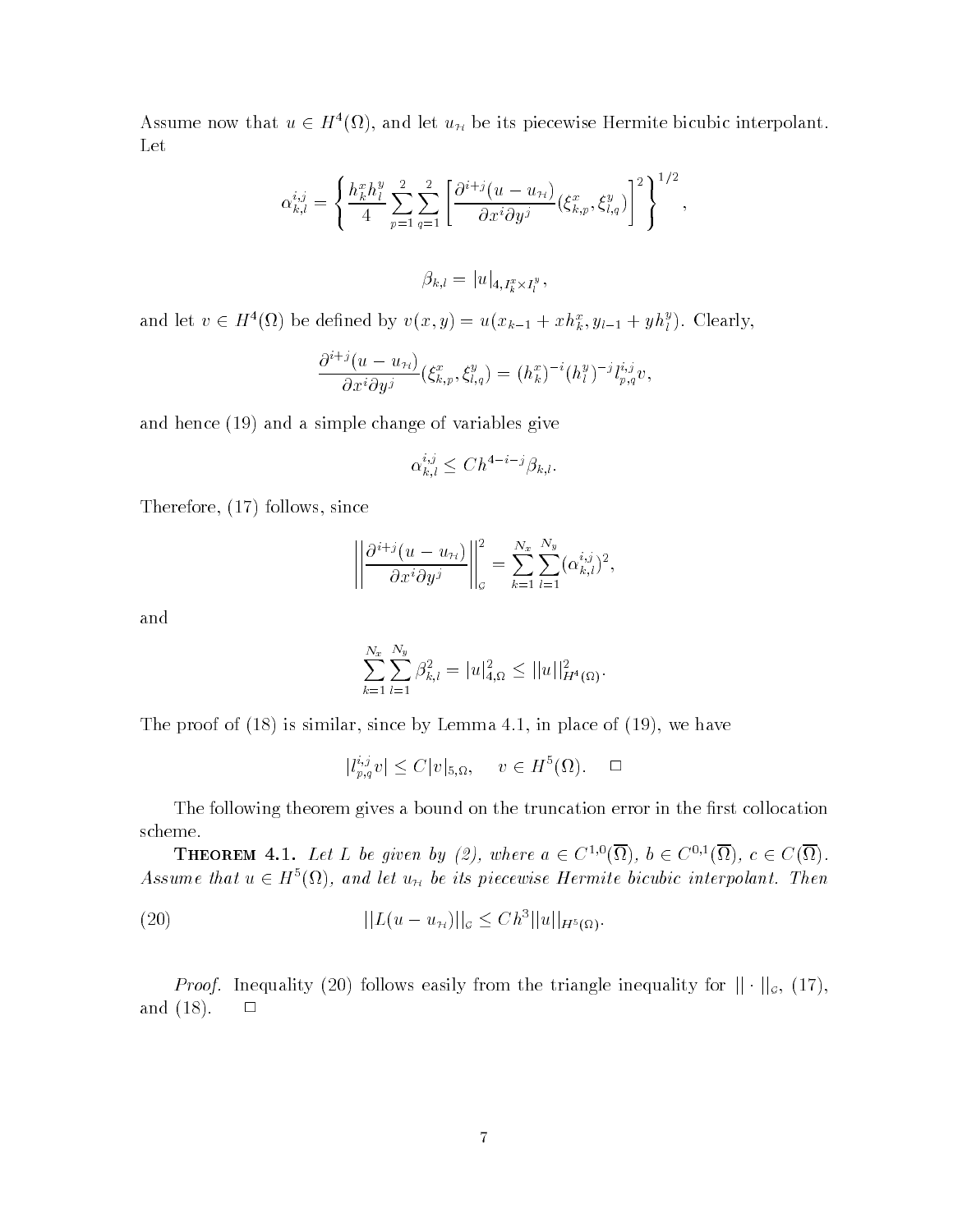Assume now that  $u \in H^{\pi}(\Omega)$ , and let  $u_{\mathcal{H}}$  be its piecewise Hermite bicubic interpolant. Let

$$
\alpha_{k,l}^{i,j} = \left\{ \frac{h_k^x h_l^y}{4} \sum_{p=1}^2 \sum_{q=1}^2 \left[ \frac{\partial^{i+j} (u - u_{\mathcal{H}})}{\partial x^i \partial y^j} (\xi_{k,p}^x, \xi_{l,q}^y) \right]^2 \right\}^{1/2},
$$
  

$$
\beta_{k,l} = |u|_{4, I_k^x \times I_l^y},
$$

and let  $v \in H^*(\Omega)$  be defined by  $v(x,y) = u(x_{k-1} + x h_k^*, y_{l-1} + y h_l^*)$ . Clearly,

$$
\frac{\partial^{i+j}(u-u_{\mathcal{H}})}{\partial x^i \partial y^j}(\xi_{k,p}^x,\xi_{l,q}^y)=(h_k^x)^{-i}(h_l^y)^{-j}l_{p,q}^{i,j}v,
$$

and a simple change of variables and a simple of variables  $\pi$  . The simple  $\pi$ 

$$
\alpha_{k,l}^{i,j} \le Ch^{4-i-j} \beta_{k,l}.
$$

Therefore - follows since

$$
\left\|\frac{\partial^{i+j}(u-u_{\mathcal{H}})}{\partial x^i\partial y^j}\right\|_{\mathcal{G}}^2=\sum_{k=1}^{N_x}\sum_{l=1}^{N_y}(\alpha_{k,l}^{i,j})^2,
$$

and

$$
\sum_{k=1}^{N_x} \sum_{l=1}^{N_y} \beta_{k,l}^2 = |u|_{4,\Omega}^2 \le ||u||_{H^4(\Omega)}^2.
$$

the proof of (the place since is controlled by the place of  $\mathbb{R}^n$  in place of  $\mathbb{R}^n$  is the since  $\mathbb{R}^n$ 

$$
|l_{p,q}^{i,j}v| \le C|v|_{5,\Omega}, \quad v \in H^5(\Omega). \quad \square
$$

The following theorem gives a bound on the truncation error in the first collocation scheme

**THEOREM** 4.1. Let L be given by (2), where  $a \in C^{1,\circ}(\Omega)$ ,  $b \in C^{\circ,\circ}(\Omega)$ ,  $c \in C(\Omega)$ . Assume that  $u \in H^{\sigma}(\Omega)$ , and let  $u_{\mathcal{H}}$  be its piecewise Hermite bicubic interpolant. Then

(20) 
$$
||L(u - u_{\mathcal{H}})||_{\mathcal{G}} \leq C h^{3} ||u||_{H^{5}(\Omega)}.
$$

*Proof.* Inequality (20) follows easily from the triangle inequality for  $|| \cdot ||_{g}$ , (17), and  $(18)$ .  $\Box$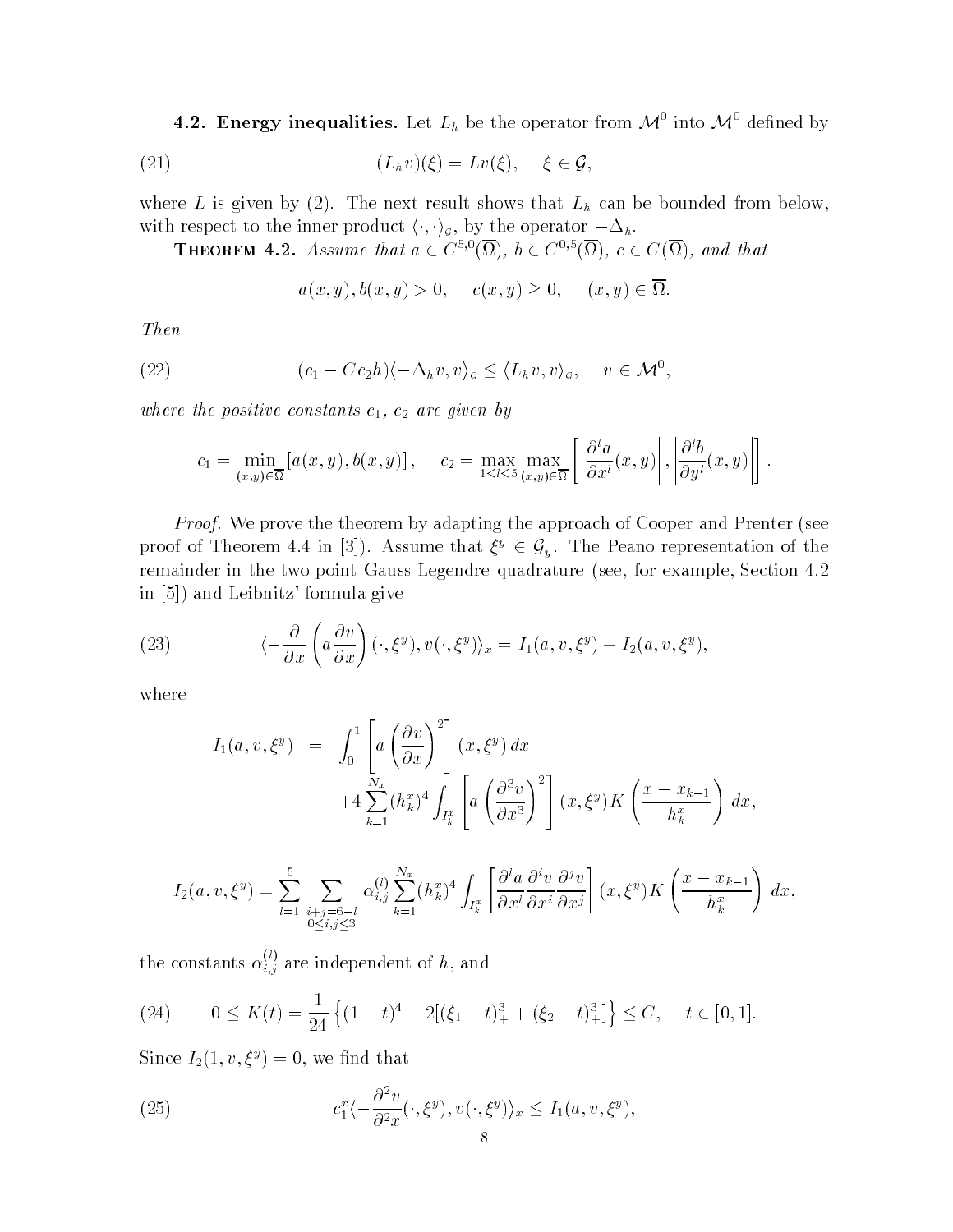4.2. Energy inequalities. Let  $L_h$  be the operator from  $\mathcal{M}^0$  into  $\mathcal{M}^0$  defined by

(21) 
$$
(L_h v)(\xi) = Lv(\xi), \quad \xi \in \mathcal{G},
$$

where  $\alpha$  is given by  $\lambda = \lambda$  . Hence the properties that  $\lambda$  is the bounded from below  $\lambda$ with respect to the inner product  $\langle \cdot, \cdot \rangle_{\sigma}$ , by the operator  $-\Delta_h$ .

**THEOREM 4.2.** Assume that  $a \in C^{s, o}(\Omega)$ ,  $b \in C^{s, o}(\Omega)$ ,  $c \in C(\Omega)$ , and that

$$
a(x, y), b(x, y) > 0
$$
,  $c(x, y) \ge 0$ ,  $(x, y) \in \overline{\Omega}$ .

Then

(22) 
$$
(c_1 - Cc_2h)(-\Delta_h v, v)_{\mathcal{G}} \le \langle L_h v, v \rangle_{\mathcal{G}}, \quad v \in \mathcal{M}^0,
$$

where the positive constants  $c_1, c_2$  are given by

$$
c_1 = \min_{(x,y)\in\overline{\Omega}} \left[ a(x,y), b(x,y) \right], \quad c_2 = \max_{1 \leq l \leq 5} \max_{(x,y)\in\overline{\Omega}} \left[ \left| \frac{\partial^l a}{\partial x^l}(x,y) \right|, \left| \frac{\partial^l b}{\partial y^l}(x,y) \right| \right].
$$

Proof- We prove the theorem by adapting the approach of Cooper and Prenter see proof of Theorem 4.4 in [3]). Assume that  $\xi^y \in \mathcal{G}_y$ . The Peano representation of the remainder in the two-point Gauss-Legendre quadrature (see, for example, Section 4.2) in a formula given a formula given a formula given a formula given a formula given a formula given a formula g

(23) 
$$
\langle -\frac{\partial}{\partial x} \left( a \frac{\partial v}{\partial x} \right) (\cdot, \xi^y), v(\cdot, \xi^y) \rangle_x = I_1(a, v, \xi^y) + I_2(a, v, \xi^y),
$$

where

$$
I_1(a, v, \xi^y) = \int_0^1 \left[ a \left( \frac{\partial v}{\partial x} \right)^2 \right] (x, \xi^y) dx
$$
  
+4  $\sum_{k=1}^{N_x} (h_k^x)^4 \int_{I_k^x} \left[ a \left( \frac{\partial^3 v}{\partial x^3} \right)^2 \right] (x, \xi^y) K \left( \frac{x - x_{k-1}}{h_k^x} \right) dx$ ,

$$
I_2(a, v, \xi^y) = \sum_{l=1}^5 \sum_{\substack{i+j=6-l \ 0 \le i,j \le 3}} \alpha_{i,j}^{(l)} \sum_{k=1}^{N_x} (h_k^x)^4 \int_{I_k^x} \left[ \frac{\partial^l a}{\partial x^l} \frac{\partial^{i} v}{\partial x^i} \frac{\partial^{j} v}{\partial x^j} \right] (x, \xi^y) K \left( \frac{x - x_{k-1}}{h_k^x} \right) dx,
$$

the constants  $\alpha_{i,j}^{\vee\vee}$  are independent of h, and

(24) 
$$
0 \le K(t) = \frac{1}{24} \left\{ (1-t)^4 - 2[(\xi_1 - t)_+^3 + (\xi_2 - t)_+^3] \right\} \le C, \quad t \in [0,1].
$$

Since  $I_2(1, v, \zeta^*) = 0$ , we find that

(25) 
$$
c_1^x \langle -\frac{\partial^2 v}{\partial^2 x}(\cdot,\xi^y), v(\cdot,\xi^y) \rangle_x \le I_1(a,v,\xi^y),
$$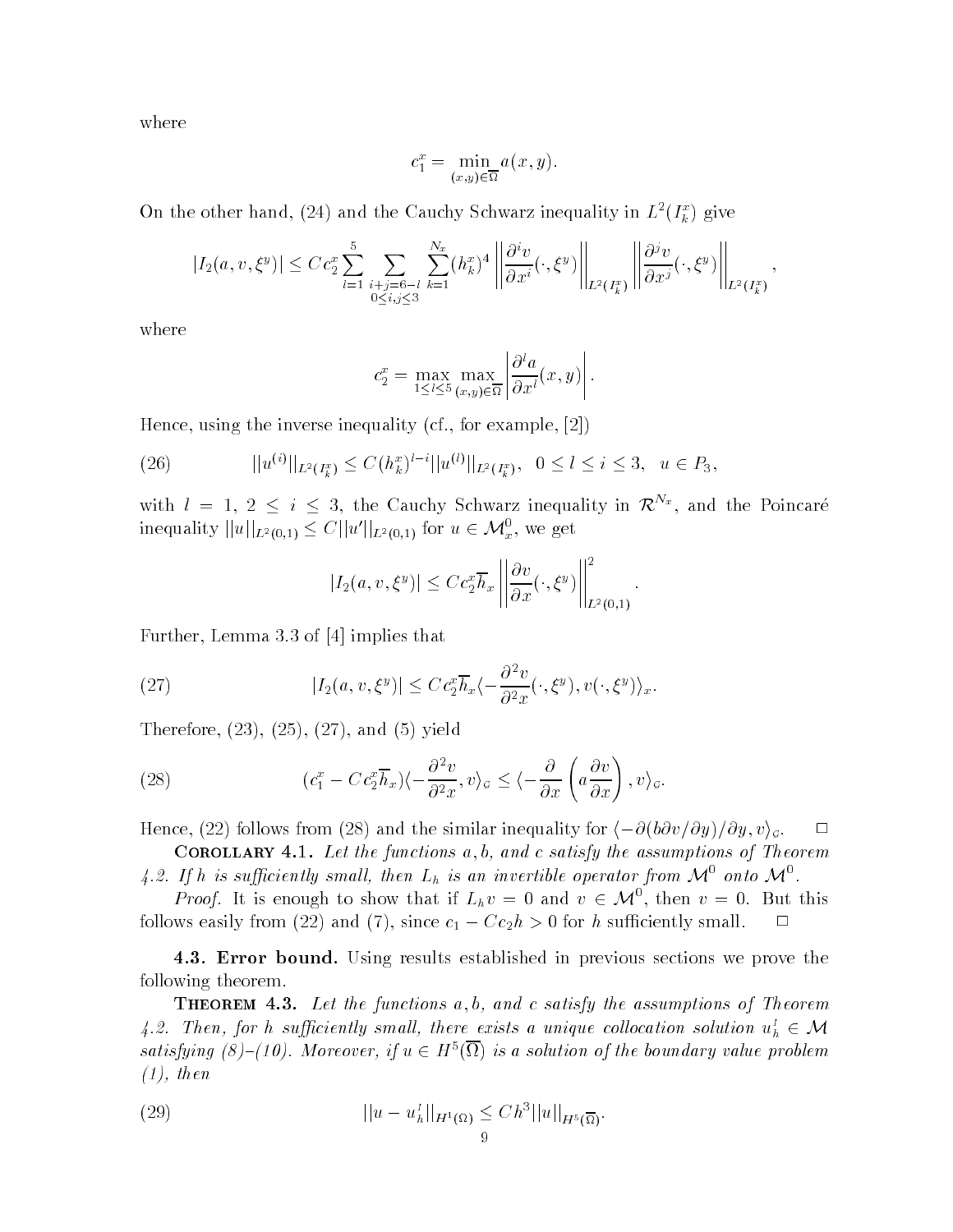where

$$
c_1^x = \min_{(x,y)\in\overline{\Omega}} a(x,y).
$$

On the other hand, (24) and the Cauchy Schwarz inequality in  $L^-(I_{\bar k}^-)$  give

$$
|I_2(a,v,\xi^y)| \leq C c_2^x \sum_{l=1}^5 \sum_{\substack{i+j=6-l\\0\leq i,j\leq 3}} \sum_{k=1}^{N_x} (h_k^x)^4 \left\| \frac{\partial^i v}{\partial x^i}(\cdot,\xi^y) \right\|_{L^2(I_k^x)} \left\| \frac{\partial^j v}{\partial x^j}(\cdot,\xi^y) \right\|_{L^2(I_k^x)},
$$

where

$$
c_2^x = \max_{1 \leq l \leq 5} \max_{(x,y) \in \overline{\Omega}} \left| \frac{\partial^l a}{\partial x^l}(x, y) \right|.
$$

Hence, using the inverse inequality (cf., for example,  $[2]$ )

(26) 
$$
||u^{(i)}||_{L^2(I_k^x)} \leq C(h_k^x)^{l-i}||u^{(l)}||_{L^2(I_k^x)}, \quad 0 \leq l \leq i \leq 3, \quad u \in P_3,
$$

with  $l = 1, 2 \leq i \leq 3$ , the Cauchy Schwarz inequality in  $\mathcal{R}^{N_x}$ , and the Poincaré inequality  $||u||_{L^2(0,1)} \leq C||u'||_{L^2(0,1)}$  for  $u \in \mathcal{M}_x^0$ , we get

$$
|I_2(a, v, \xi^y)| \leq C c_2^x \overline{h}_x \left\| \frac{\partial v}{\partial x} (\cdot, \xi^y) \right\|_{L^2(0,1)}^2.
$$

Further, Lemma 3.3 of  $[4]$  implies that

(27) 
$$
|I_2(a, v, \xi^y)| \leq C c_2^x \overline{h}_x \langle -\frac{\partial^2 v}{\partial^2 x}(\cdot, \xi^y), v(\cdot, \xi^y) \rangle_x.
$$

Therefore - - - and - yield

(28) 
$$
(c_1^x - C c_2^x \overline{h}_x)(-\frac{\partial^2 v}{\partial^2 x}, v)_\mathcal{G} \le \langle -\frac{\partial}{\partial x} \left( a \frac{\partial v}{\partial x} \right), v \rangle_\mathcal{G}.
$$

Hence, (22) follows from (28) and the similar inequality for  $\langle -\partial (b\partial v/\partial y)/\partial y, v\rangle_{\sigma}$ .

COROLLINI THE LOG GOV FUNCTIONS WITH WHEN C SERVERY THE ASSUMPTIONS OF THE COLUMN 4.2. If h is sufficiently small, then  $L_h$  is an invertible operator from  $\mathcal{M}^0$  onto  $\mathcal{M}^0$ .

*Proof.* It is enough to show that if  $L_h v = 0$  and  $v \in M^0$ , then  $v = 0$ . But this follows easily from  $(22)$  and  $(1)$ , since  $c_1 = Cc_2n \geq 0$  for h sumelemply small.

-- Error bound- Using results established in previous sections we prove the following theorem

**THEOREM 4.3.** Let the functions  $a, b,$  and c satisfy the assumptions of Theorem 4.2. Then, for h sufficiently small, there exists a unique collocation solution  $u_h^I \in \mathcal{M}$ satisfying  $(8)$ - $(10)$ . Moreover, if  $u \in H^s(\Omega)$  is a solution of the boundary value problem the contract of the contract of the contract of the contract of the contract of the contract of the contract of

(29) 
$$
||u - uhI||H1(\Omega) \leq C h3 ||u||H5(\overline{\Omega}).
$$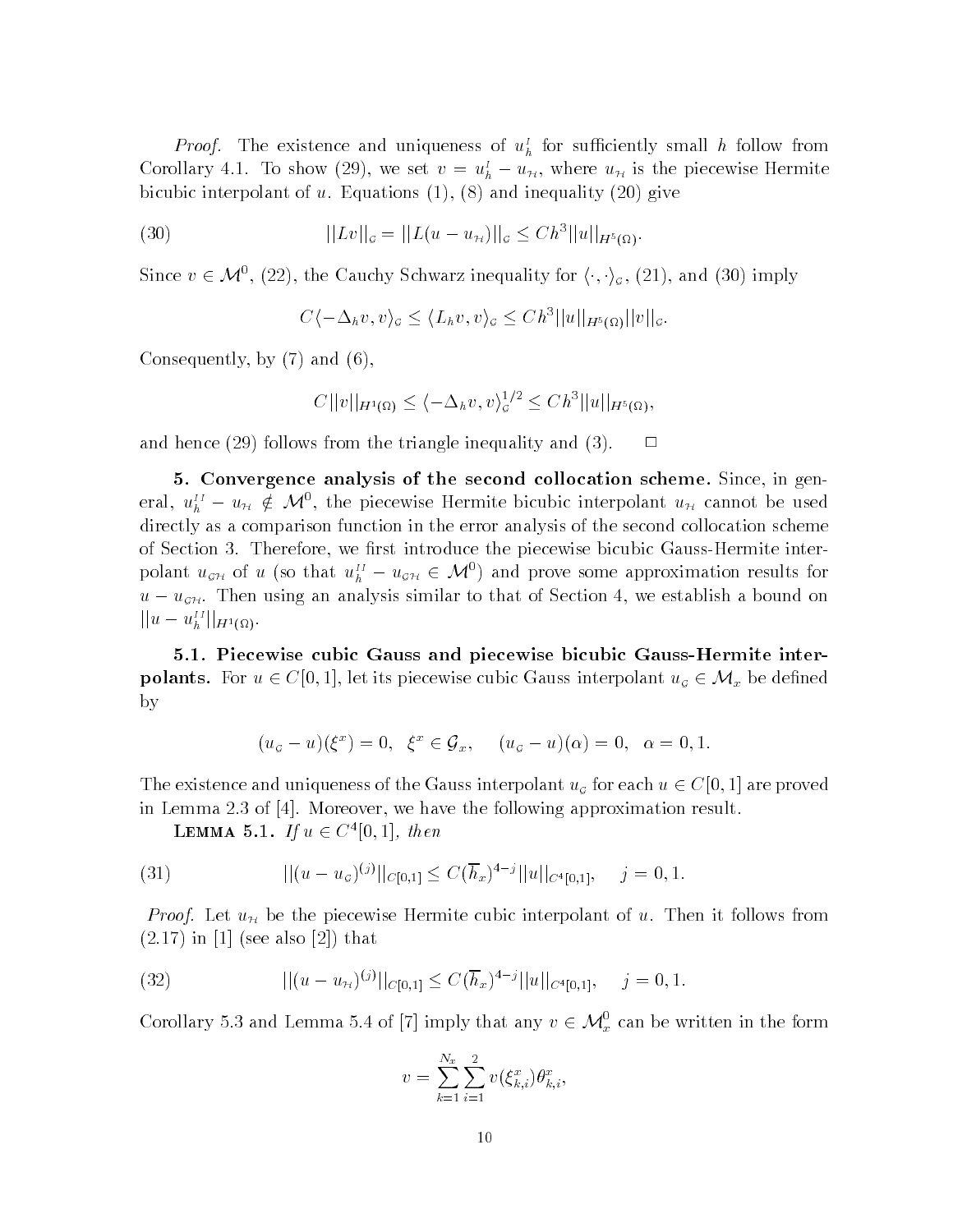*Proof.* The existence and uniqueness of  $u_h^*$  for sumclemity small h follow from Corollary 4.1. To snow (29), we set  $v = u_h^2 - u_H$ , where  $u_H$  is the piecewise Hermite is a contract of uncertainty in the contract of uncertainty  $\mathbf{A} = \mathbf{A} \mathbf{A} + \mathbf{A} \mathbf{A}$ 

(30) 
$$
||Lv||_{\mathcal{G}} = ||L(u - u_{\mathcal{H}})||_{\mathcal{G}} \leq C h^{3}||u||_{H^{5}(\Omega)}.
$$

Since  $v \in \mathcal{M}^0$ , (22), the Cauchy Schwarz inequality for  $\langle \cdot, \cdot \rangle_{\mathcal{G}},$  (21), and (30) imply

 $C\langle -\Delta_h v, v \rangle_{\mathcal{G}} \leq \langle L_h v, v \rangle_{\mathcal{G}} \leq C h^3 ||u||_{H^5(\Omega)} ||v||_{\mathcal{G}}.$ 

consequently by a state of the state of the consequently become the consequently become the consequently become the consequently become the consequently become the consequently become the consequently become the consequent

$$
C||v||_{H^1(\Omega)} \le \langle -\Delta_h v, v \rangle_{\mathcal{G}}^{1/2} \le Ch^3||u||_{H^5(\Omega)},
$$

and hence in the triangle inequality and - triangle include include include include include include include in

- Convergence analysis of the second collocation scheme- Since in gen eral,  $u_h^H - u_H \notin \mathcal{M}^0$ , the piecewise Hermite bicubic interpolant  $u_H$  cannot be used directly as a comparison function in the error analysis of the second collocation scheme of Section 3. Therefore, we first introduce the piecewise bicubic Gauss-Hermite interpolant  $u_{\sigma H}$  of u (so that  $u_{h}^{II} - u_{\sigma H} \in \mathcal{M}^0$ ) and prove some approximation results for  $u = u_{\mathcal{GH}}$ . Then using an analysis similar to that or Section 4, we establish a bound on  $||u - u_h^{II}||_{H^1(\Omega)}.$ 

-- Piecewise cubic Gauss and piecewise bicubic GaussHermite inter **polants.** For  $u \in C[0,1]$ , let its piecewise cubic Gauss interpolant  $u_{\sigma} \in M_x$  be defined by

$$
(u_{\sigma}-u)(\xi^x)=0, \ \ \xi^x\in\mathcal{G}_x, \quad (u_{\sigma}-u)(\alpha)=0, \ \ \alpha=0,1.
$$

The existence and uniqueness of the Gauss interpolant  $u_{\sigma}$  for each  $u \in C[0,1]$  are proved in Lemma 2.3 of  $[4]$ . Moreover, we have the following approximation result.

LEMMA 5.1. If  $u \in C^*[0,1]$ , then

(31) 
$$
||(u - u_{\sigma})^{(j)}||_{C[0,1]} \leq C(\overline{h}_x)^{4-j}||u||_{C^{4}[0,1]}, \quad j = 0, 1.
$$

Proof- Let uH be the piecewise Hermite cubic interpolant of u Then it follows from - in see also - that

(32) 
$$
||(u - u_{\mathcal{H}})^{(j)}||_{C[0,1]} \leq C(\overline{h}_x)^{4-j}||u||_{C^4[0,1]}, \quad j = 0, 1.
$$

Corollary 5.3 and Lemma 5.4 of [7] imply that any  $v \in \mathcal{M}_x^0$  can be written in the form

$$
v = \sum_{k=1}^{N_x} \sum_{i=1}^{2} v(\xi_{k,i}^x) \theta_{k,i}^x,
$$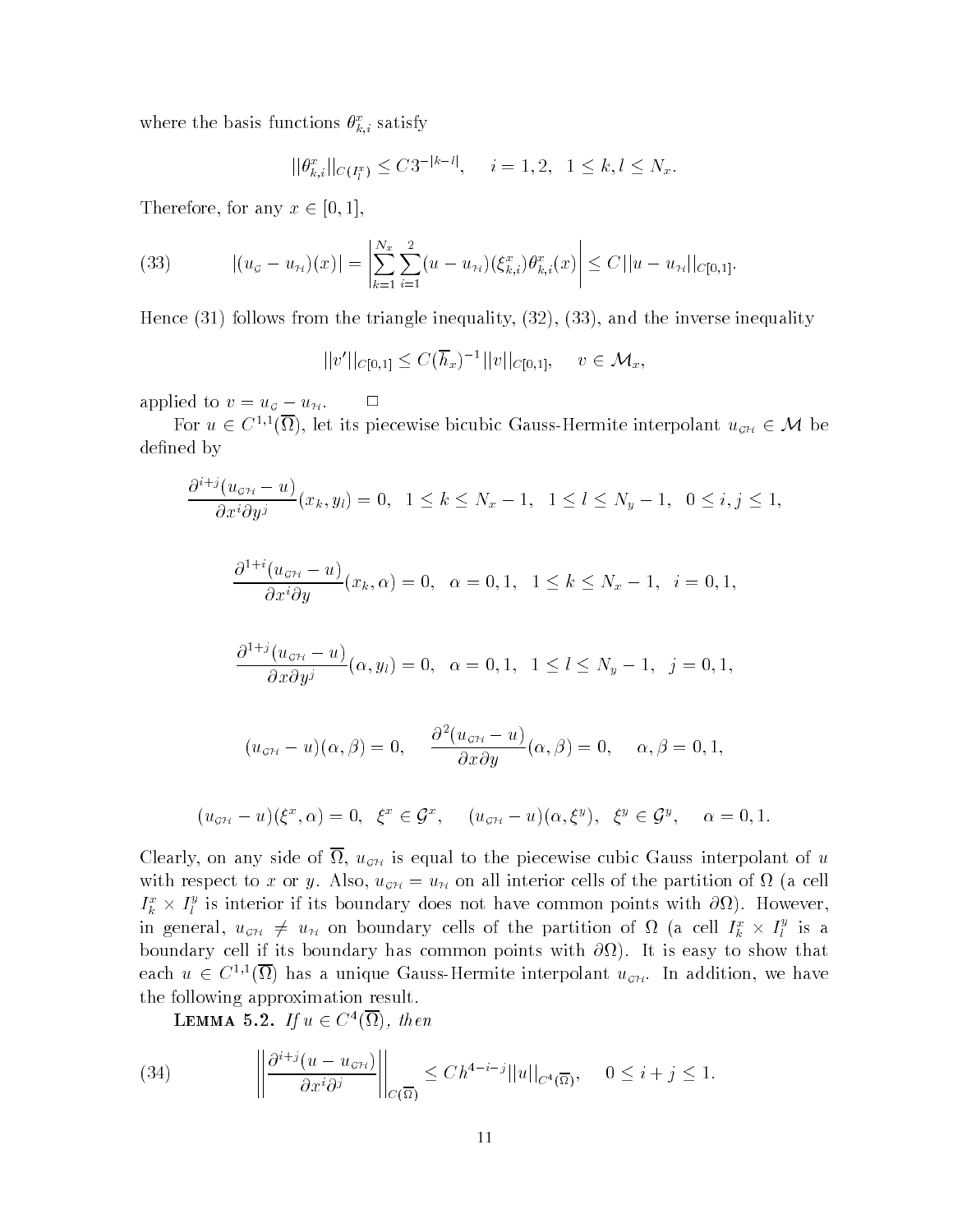where the basis functions  $\sigma_{\vec{k},i}$  satisfy

$$
||\theta_{k,i}^x||_{C(I_i^x)} \leq C3^{-|k-l|}, \quad i=1,2, \ 1 \leq k, l \leq N_x.
$$

Therefore, for any  $x \in [0,1]$ ,

(33) 
$$
|(u_{\sigma}-u_{\pi})(x)|=\left|\sum_{k=1}^{N_x}\sum_{i=1}^2(u-u_{\pi})(\xi_{k,i}^x)\theta_{k,i}^x(x)\right|\leq C||u-u_{\pi}||_{C[0,1]}.
$$

Hence - follows from the triangle inequality - - and the inverse inequality

$$
||v'||_{C[0,1]} \leq C(\overline{h}_x)^{-1}||v||_{C[0,1]}, \quad v \in \mathcal{M}_x,
$$

 $a$  put to  $v = u<sub>G</sub> - u<sub>H</sub>$ .

For  $u \in C^{1,1}(\Omega)$ , let its piecewise bicubic Gauss-Hermite interpolant  $u_{\sigma H} \in \mathcal{M}$  be defined by

$$
\frac{\partial^{i+j}(u_{\sigma\mu}-u)}{\partial x^i\partial y^j}(x_k,y_l)=0,\ \ 1\leq k\leq N_x-1,\ \ 1\leq l\leq N_y-1,\ \ 0\leq i,j\leq 1,
$$

$$
\frac{\partial^{1+i}(u_{\sigma\mu}-u)}{\partial x^i\partial y}(x_k,\alpha)=0,\ \ \alpha=0,1,\ \ 1\leq k\leq N_x-1,\ \ i=0,1,
$$

$$
\frac{\partial^{1+j}(u_{\sigma \gamma} - u)}{\partial x \partial y^{j}}(\alpha, y_{l}) = 0, \ \alpha = 0, 1, \ 1 \le l \le N_{y} - 1, \ j = 0, 1,
$$

$$
(u_{\sigma\mathcal{H}}-u)(\alpha,\beta)=0,\hspace{0.5cm}\frac{\partial^2(u_{\sigma\mathcal{H}}-u)}{\partial x\partial y}(\alpha,\beta)=0,\hspace{0.5cm}\alpha,\beta=0,1,
$$

$$
(u_{\mathcal{GH}} - u)(\xi^x, \alpha) = 0, \quad \xi^x \in \mathcal{G}^x, \quad (u_{\mathcal{GH}} - u)(\alpha, \xi^y), \quad \xi^y \in \mathcal{G}^y, \quad \alpha = 0, 1.
$$

Clearly, on any side of  $\overline{\Omega}$ ,  $u_{\mathcal{GH}}$  is equal to the piecewise cubic Gauss interpolant of u with respect to x or y. Also,  $u_{\sigma H} = u_H$  on all interior cells of the partition of  $\Omega$  (a cell  $I_k^* \times I_l^*$  is interior if its boundary does not have common points with  $\partial\Omega$ ). However, in general,  $u_{\sigma H} \neq u_H$  on boundary cells of the partition of  $\Omega$  (a cell  $I_k^x \times I_l^y$  is a are the cell its boundary that common points with a specific the state of the state  $\alpha$ each  $u \in C^{1,1}(\Omega)$  has a unique Gauss-Hermite interpolant  $u_{\sigma H}$ . In addition, we have the following approximation result

**LEMMA** 5.2. If  $u \in C^{\infty}(\Omega)$ , then

(34) 
$$
\left\| \frac{\partial^{i+j}(u - u_{\mathcal{GH}})}{\partial x^i \partial^j} \right\|_{C(\overline{\Omega})} \leq C h^{4-i-j} ||u||_{C^4(\overline{\Omega})}, \quad 0 \leq i+j \leq 1.
$$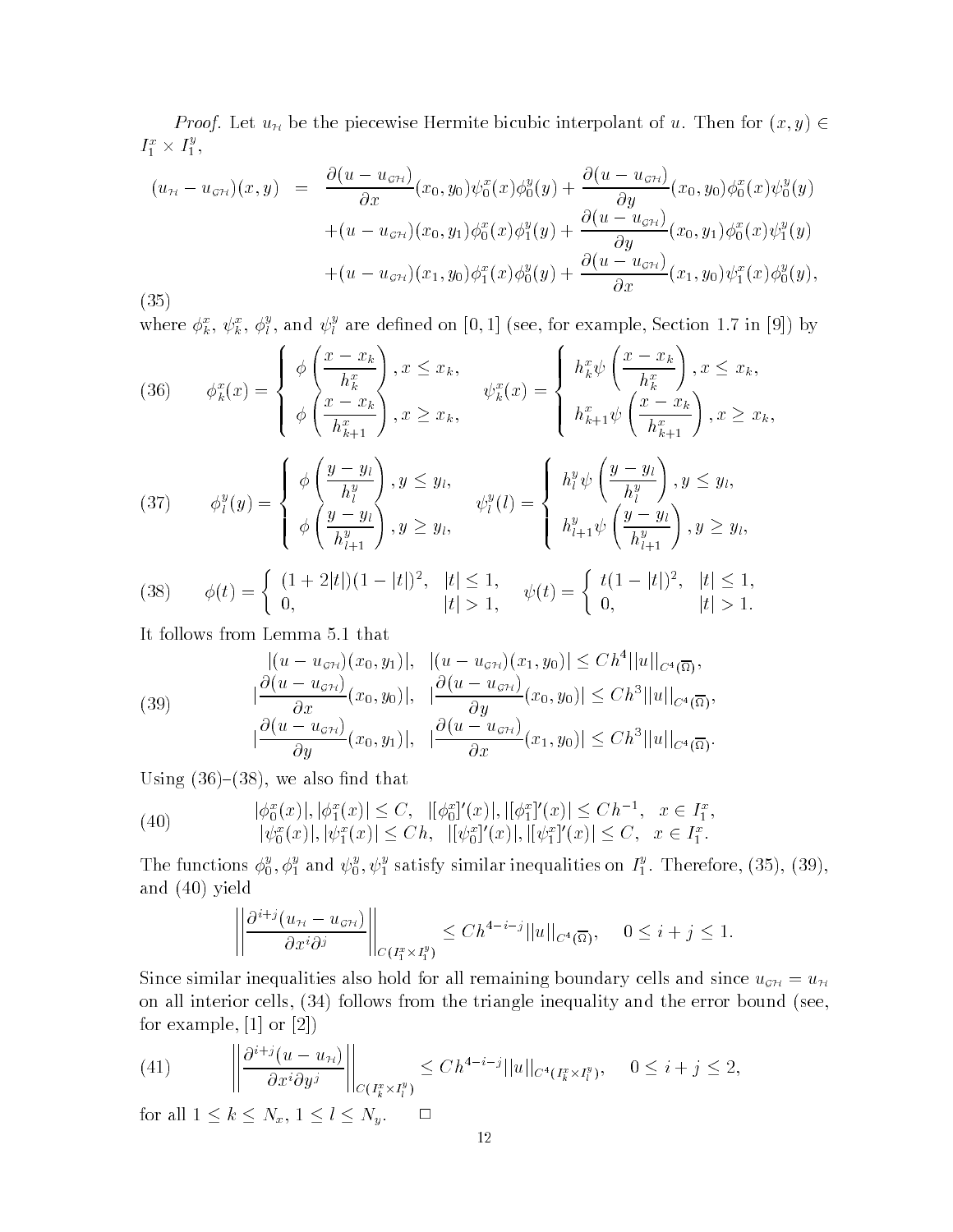*Proof.* Let  $u_{\mathcal{H}}$  be the piecewise Hermite bicubic interpolant of u. Then for  $(x, y) \in$  $I_1^* \times I_1^*,$ 

$$
(u_{\scriptscriptstyle H}-u_{\scriptscriptstyle \mathcal{G}\mathcal{H}})(x,y) = \frac{\partial(u-u_{\scriptscriptstyle \mathcal{G}\mathcal{H}})}{\partial x}(x_0,y_0)\psi_0^x(x)\phi_0^y(y) + \frac{\partial(u-u_{\scriptscriptstyle \mathcal{G}\mathcal{H}})}{\partial y}(x_0,y_0)\phi_0^x(x)\psi_0^y(y) + (u-u_{\scriptscriptstyle \mathcal{G}\mathcal{H}})(x_0,y_1)\phi_0^x(x)\phi_1^y(y) + \frac{\partial(u-u_{\scriptscriptstyle \mathcal{G}\mathcal{H}})}{\partial y}(x_0,y_1)\phi_0^x(x)\psi_1^y(y) + (u-u_{\scriptscriptstyle \mathcal{G}\mathcal{H}})(x_1,y_0)\phi_1^x(x)\phi_0^y(y) + \frac{\partial(u-u_{\scriptscriptstyle \mathcal{G}\mathcal{H}})}{\partial x}(x_1,y_0)\psi_1^x(x)\phi_0^y(y),
$$

 $(35)$ 

where  $\phi_k^*, \psi_k^*, \phi_l^*,$  and  $\psi_l^*$  are defined on [0, 1] (see, for example, Section 1.7 in [9]) by

(36) 
$$
\phi_k^x(x) = \begin{cases} \phi\left(\frac{x - x_k}{h_k^x}\right), x \le x_k, \\ \phi\left(\frac{x - x_k}{h_{k+1}^x}\right), x \ge x_k, \end{cases} \quad \psi_k^x(x) = \begin{cases} h_k^x \psi\left(\frac{x - x_k}{h_k^x}\right), x \le x_k, \\ h_{k+1}^x \psi\left(\frac{x - x_k}{h_{k+1}^x}\right), x \ge x_k, \end{cases}
$$
  
(37) 
$$
\phi_l^y(y) = \begin{cases} \phi\left(\frac{y - y_l}{h_l^y}\right), y \le y_l, \\ \phi\left(\frac{y - y_l}{h_{l+1}^y}\right), y \ge y_l, \end{cases} \quad \psi_l^y(l) = \begin{cases} h_l^y \psi\left(\frac{y - y_l}{h_l^y}\right), y \le y_l, \\ h_{l+1}^y \psi\left(\frac{y - y_l}{h_{l+1}^y}\right), y \ge y_l, \end{cases}
$$

(38) 
$$
\phi(t) = \begin{cases} (1+2|t|)(1-|t|)^2, & |t| \le 1, \\ 0, & |t| > 1, \end{cases} \quad \psi(t) = \begin{cases} t(1-|t|)^2, & |t| \le 1, \\ 0, & |t| > 1. \end{cases}
$$

It follows from Lemma 5.1 that

(39) 
$$
\left|\frac{(u - u_{\sigma\mu})(x_0, y_1)|}{\partial x}(x_0, y_0)|, \left|\frac{\partial(u - u_{\sigma\mu})(x_1, y_0)|}{\partial y}(x_0, y_0)|\right| \leq Ch^4 ||u||_{C^4(\overline{\Omega})},
$$

$$
\left|\frac{\partial(u - u_{\sigma\mu})}{\partial y}(x_0, y_1)|, \left|\frac{\partial(u - u_{\sigma\mu})}{\partial x}(x_1, y_0)|\right| \leq Ch^3 ||u||_{C^4(\overline{\Omega})}.
$$

 $\mathcal{L}$  -  $\mathcal{L}$  -  $\mathcal{L}$  -  $\mathcal{L}$  -  $\mathcal{L}$  -  $\mathcal{L}$  -  $\mathcal{L}$  -  $\mathcal{L}$  -  $\mathcal{L}$  -  $\mathcal{L}$  -  $\mathcal{L}$  -  $\mathcal{L}$  -  $\mathcal{L}$  -  $\mathcal{L}$  -  $\mathcal{L}$  -  $\mathcal{L}$  -  $\mathcal{L}$  -  $\mathcal{L}$  -  $\mathcal{L}$  -  $\mathcal{L}$  -

-----

(40) 
$$
|\phi_0^x(x)|, |\phi_1^x(x)| \le C, \quad |[\phi_0^x]'(x)|, |[\phi_1^x]'(x)| \le Ch^{-1}, \quad x \in I_1^x, |\psi_0^x(x)|, |\psi_1^x(x)| \le Ch, \quad |[\psi_0^x]'(x)|, |[\psi_1^x]'(x)| \le C, \quad x \in I_1^x.
$$

The functions  $\phi_0^s, \phi_1^s$  and  $\psi_0^s, \psi_1^s$  satisfy similar inequalities on  $I_1^s$ . Therefore, (35), (39), and - yield

$$
\left\|\frac{\partial^{i+j}(u_{\mathcal{H}}-u_{\mathcal{G}\mathcal{H}})}{\partial x^i\partial^j}\right\|_{C(I_1^x\times I_1^y)} \le Ch^{4-i-j}||u||_{C^4(\overline{\Omega})}, \quad 0\le i+j\le 1.
$$

Since similar inequalities also hold for all remaining boundary cells and since  $u_{\sigma H} = u_H$ on all interior cells - for the triangle interior bound seemingle interior bound seems the error prior the err for example,  $[1]$  or  $[2]$ )

(41) 
$$
\left\|\frac{\partial^{i+j}(u-u_{\mathcal{H}})}{\partial x^i\partial y^j}\right\|_{C(I^x_k\times I^y_l)} \leq C h^{4-i-j}||u||_{C^4(I^x_k\times I^y_l)}, \quad 0\leq i+j\leq 2,
$$

for all  $1 \leq k \leq N_x$ ,  $1 \leq l \leq N_y$ .  $\Box$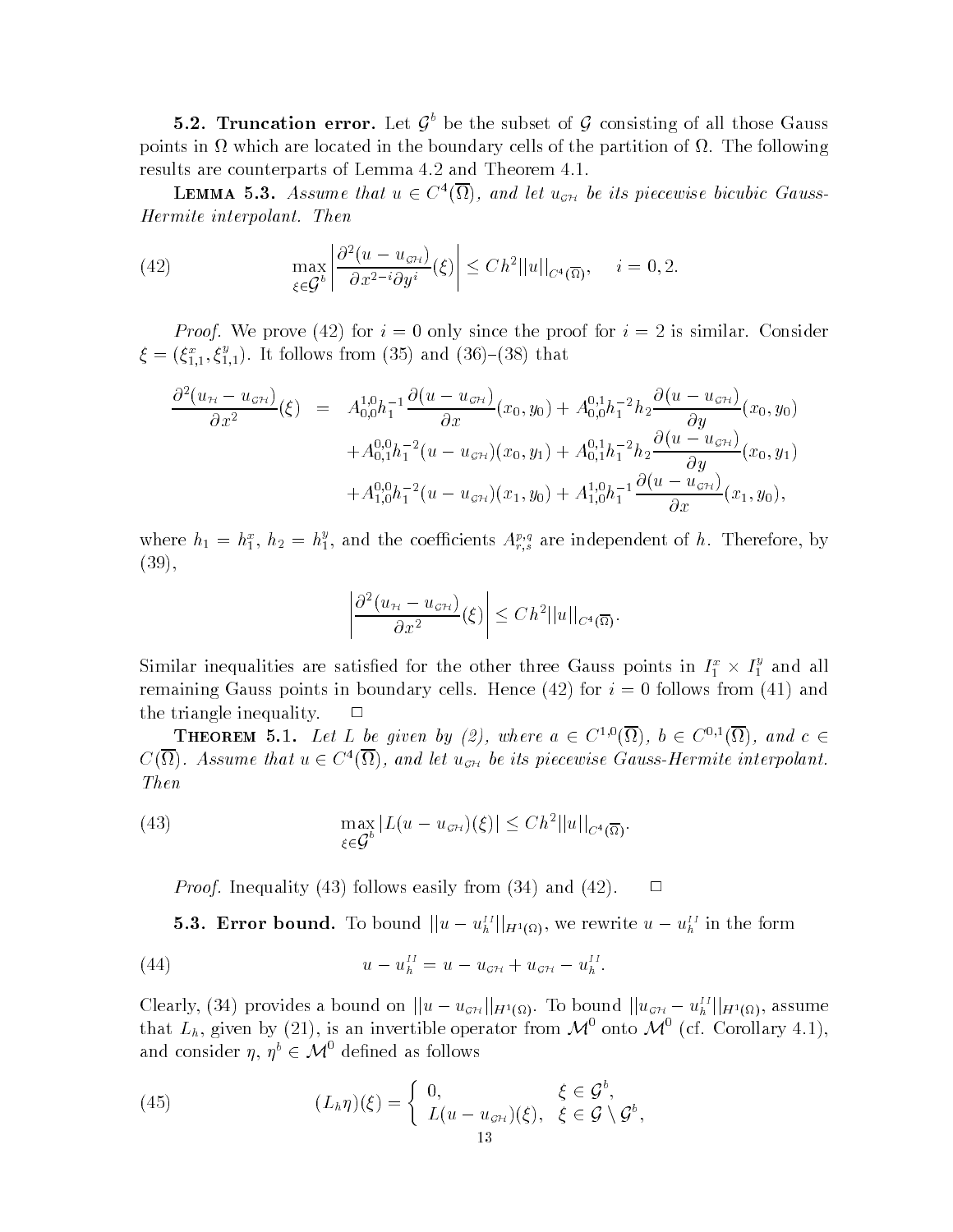**5.2. Truncation error.** Let  $\mathcal{G}^{\circ}$  be the subset of  $\mathcal{G}$  consisting of all those Gauss points in  $\Omega$  which are located in the boundary cells of the partition of  $\Omega$ . The following results are counterparts of Lemma  $4.2$  and Theorem  $4.1$ .

**LEMMA 5.3.** Assume that  $u \in C^{\infty}(\Omega)$ , and let  $u_{\sigma H}$  be its piecewise bicubic Gauss-Hermite interpolant- Then

(42) 
$$
\max_{\xi \in \mathcal{G}^b} \left| \frac{\partial^2 (u - u_{\mathcal{GH}})}{\partial x^{2-i} \partial y^i} (\xi) \right| \leq C h^2 ||u||_{C^4(\overline{\Omega})}, \quad i = 0, 2.
$$

 $P$ roof-broof-broof-broof-broof-broof-broof-broof-broof-broof-broof-broof-broof-broof-broof-broof-broof-broof-broof-broof-broof-broof-broof-broof-broof-broof-broof-broof-broof-broof-broof-broof-broof-broof-broof-broof-bro  $\xi = (\xi_{1,1}^*, \xi_{1,1}^*)$ . It follows from (35) and (36)–(38) that

$$
\frac{\partial^2 (u_{\mathcal{H}} - u_{\mathcal{G}H})}{\partial x^2}(\xi) = A_{0,0}^{1,0} h_1^{-1} \frac{\partial (u - u_{\mathcal{G}H})}{\partial x}(x_0, y_0) + A_{0,0}^{0,1} h_1^{-2} h_2 \frac{\partial (u - u_{\mathcal{G}H})}{\partial y}(x_0, y_0) \n+ A_{0,1}^{0,0} h_1^{-2} (u - u_{\mathcal{G}H}) (x_0, y_1) + A_{0,1}^{0,1} h_1^{-2} h_2 \frac{\partial (u - u_{\mathcal{G}H})}{\partial y}(x_0, y_1) \n+ A_{1,0}^{0,0} h_1^{-2} (u - u_{\mathcal{G}H}) (x_1, y_0) + A_{1,0}^{1,0} h_1^{-1} \frac{\partial (u - u_{\mathcal{G}H})}{\partial x}(x_1, y_0),
$$

where  $h_1 = h_1^*, h_2 = h_1^*$ , and the coefficients  $A_{r,s}^{\nu,y}$  are independent of h. Therefore, by -

$$
\left|\frac{\partial^2(u_{\mathcal{H}} - u_{\mathcal{GH}})}{\partial x^2}(\xi)\right| \leq C h^2 ||u||_{C^4(\overline{\Omega})}.
$$

Similar inequalities are satisfied for the other three Gauss points in  $I_1^* \times I_1^*$  and all remaining to the contract of the cells in boundary cells in the contract of the contract of the contract of the contract of the contract of the contract of the contract of the contract of the contract of the contract of t  $t \sim t$  the triangle intervalse in the triangle intervalse in the triangle intervalse in the triangle intervalse in the triangle intervalse in the set of  $t$ 

**THEOREM** 5.1. Let L be given by (2), where  $a \in C^{1,0}(\Omega)$ ,  $b \in C^{0,1}(\Omega)$ , and  $c \in C$  $C(\Omega)$ . Assume that  $u \in C^{\infty}(\Omega)$ , and let  $u_{\sigma\mathcal{H}}$  be its piecewise Gauss-Hermite interpolant. Then

(43) 
$$
\max_{\xi \in \mathcal{G}^b} |L(u - u_{\mathcal{GH}})(\xi)| \leq C h^2 ||u||_{C^4(\overline{\Omega})}.
$$

Proof- Inequality - follows easily from - and - $\blacksquare$  . The contract of the contract of the contract of the contract of the contract of the contract of the contract of the contract of the contract of the contract of the contract of the contract of the contract of the

**5.3. Error bound.** To bound  $||u - u_h^{II}||_{H^1(\Omega)}$ , we rewrite  $u - u_h^{II}$  in the form

(44) 
$$
u - u_h^{II} = u - u_{\mathcal{GH}} + u_{\mathcal{GH}} - u_h^{II}.
$$

Clearly, (34) provides a bound on  $||u - u_{\sigma H}||_{H^1(\Omega)}$ . To bound  $||u_{\sigma H} - u_h^{II}||_{H^1(\Omega)}$ , assume that  $L_h$ , given by (21), is an invertible operator from  $\mathcal{M}^0$  onto  $\mathcal{M}^0$  (cf. Corollary 4.1), and consider  $\eta$ ,  $\eta^b \in \mathcal{M}^0$  defined as follows

(45) 
$$
(L_h \eta)(\xi) = \begin{cases} 0, & \xi \in \mathcal{G}^b, \\ L(u - u_{\mathcal{GH}})(\xi), & \xi \in \mathcal{G} \setminus \mathcal{G}^b, \\ 12, & \xi \in \mathcal{GH} \end{cases}
$$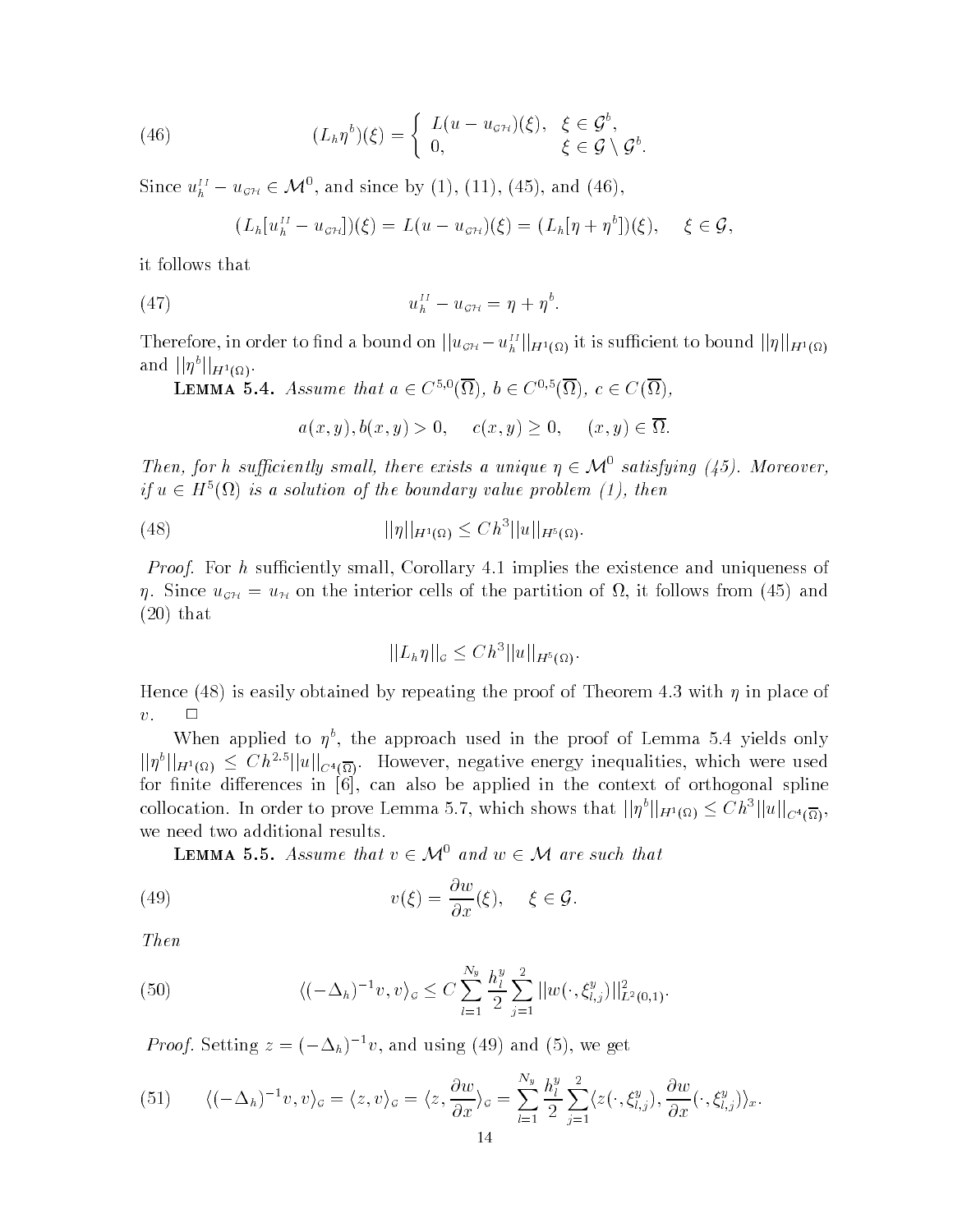(46) 
$$
(L_h \eta^b)(\xi) = \begin{cases} L(u - u_{\mathcal{GH}})(\xi), & \xi \in \mathcal{G}^b, \\ 0, & \xi \in \mathcal{G} \setminus \mathcal{G}^b. \end{cases}
$$

Since  $u_h^H - u_{\sigma H} \in \mathcal{M}^0$ , and since by (1), (11), (45), and (46),

$$
(L_h[u_h^{II}-u_{\mathcal{GH}}])(\xi)=L(u-u_{\mathcal{GH}})(\xi)=(L_h[\eta+\eta^b])(\xi), \quad \xi\in\mathcal{G},
$$

it follows that

$$
(47) \t\t\t uhII - uSH = \eta + \etab.
$$

Therefore, in order to find a bound on  $||u_{\mathcal{GH}} - u_h^{II}||_{H^1(\Omega)}$  it is sufficient to bound  $||\eta||_{H^1(\Omega)}$ and  $||\eta^b||_{H^1(\Omega)}$ .

**LEMMA** 5.4. Assume that  $a \in C^{0,0}(\Omega)$ ,  $b \in C^{0,0}(\Omega)$ ,  $c \in C(\Omega)$ ,

$$
a(x, y), b(x, y) > 0
$$
,  $c(x, y) \ge 0$ ,  $(x, y) \in \overline{\Omega}$ .

Then, for h sufficiently small, there exists a unique  $\eta \in \mathcal{M}^{\circ}$  satisfying (45). Moreover,  $if u \in H^{\sigma}(\Omega)$  is a solution of the boundary value problem (1), then

(48) 
$$
||\eta||_{H^1(\Omega)} \leq C h^3 ||u||_{H^5(\Omega)}.
$$

Proof- For h suciently small Corollary  implies the existence and uniqueness of  $\mathcal{S}$  interior complex of the interior cells of the partition of the partition of the partition of the partition  $\mathcal{S}$  - that

$$
||L_h\eta||_{\mathcal{G}} \leq Ch^3||u||_{H^5(\Omega)}.
$$

 $\mathbf{A}$  is easily obtained by repeating the proof of Theorem  $\mathbf{A}$  $\Box$ 

when applied to  $\eta$ , the approach used in the proof of Lemma 5.4 yields only  $||\eta^b||_{H^1(\Omega)} \leq C h^{2.5}||u||_{C^4(\overline{\Omega})}$ . However, negative energy inequalities, which were used for nite di erences in can also be applied in the context of orthogonal spline collocation. In order to prove Lemma 5.7, which shows that  $||\eta^b||_{H^1(\Omega)} \leq C h^3 ||u||_{C^4(\overline{\Omega})}$ , we need two additional results

**LEMMA 5.5.** Assume that  $v \in \mathcal{M}^0$  and  $w \in \mathcal{M}$  are such that

(49) 
$$
v(\xi) = \frac{\partial w}{\partial x}(\xi), \quad \xi \in \mathcal{G}.
$$

Then

(50) 
$$
\langle (-\Delta_h)^{-1} v, v \rangle_{\mathcal{G}} \leq C \sum_{l=1}^{N_y} \frac{h_l^y}{2} \sum_{j=1}^2 ||w(\cdot, \xi_{l,j}^y)||_{L^2(0,1)}^2.
$$

*Proof*. Setting  $z = (-\Delta_h)$  by, and using (49) and (5), we get

(51) 
$$
\langle (-\Delta_h)^{-1} v, v \rangle_{\mathcal{G}} = \langle z, v \rangle_{\mathcal{G}} = \langle z, \frac{\partial w}{\partial x} \rangle_{\mathcal{G}} = \sum_{l=1}^{N_y} \frac{h_l^y}{2} \sum_{j=1}^2 \langle z(\cdot, \xi_{l,j}^y), \frac{\partial w}{\partial x}(\cdot, \xi_{l,j}^y) \rangle_x.
$$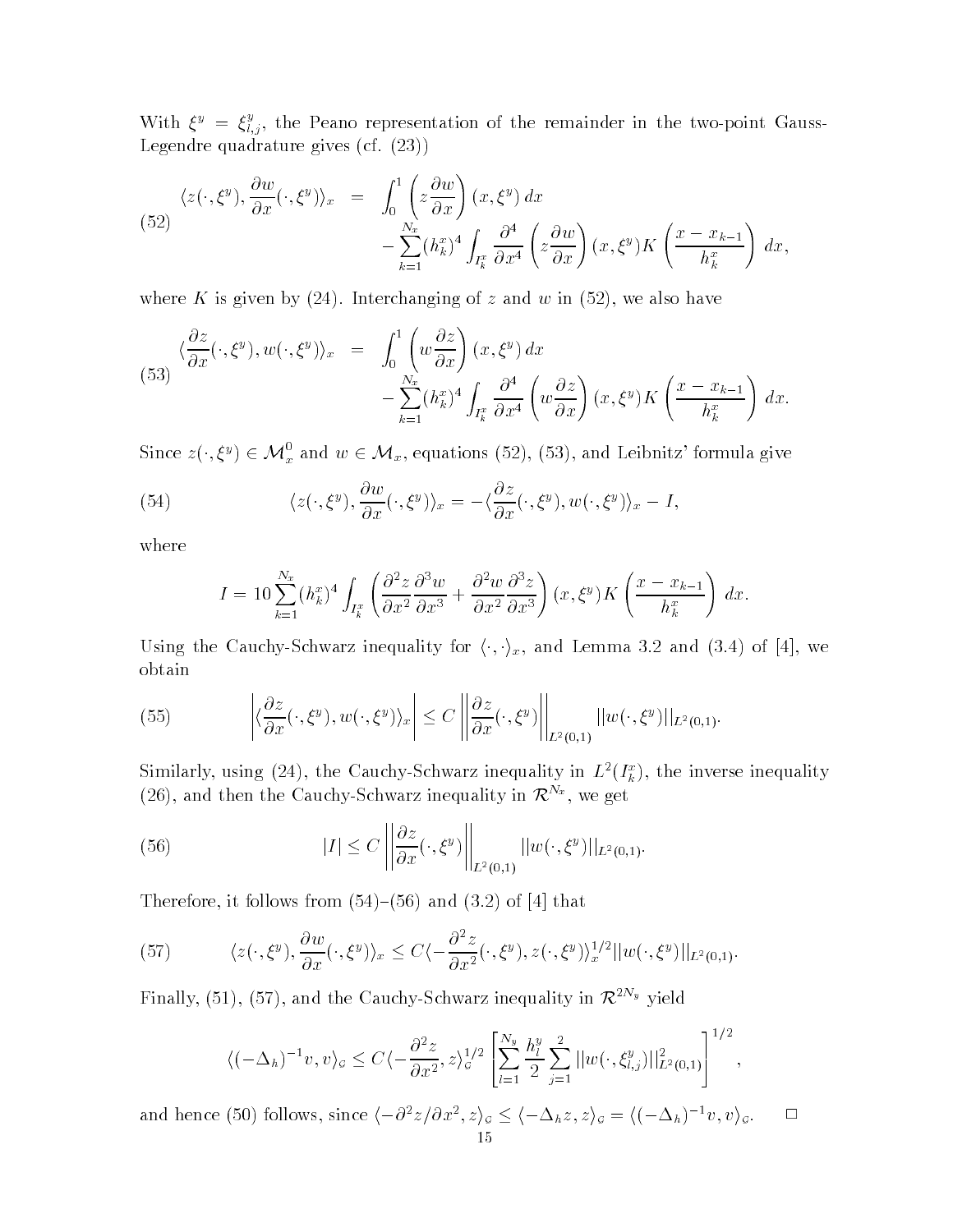With  $\xi^y = \xi^y_{i,j}$ , the Peano representation of the remainder in the two-point Gauss-Legendre quadrature gives cf --

(52)  
\n
$$
\langle z(\cdot,\xi^y),\frac{\partial w}{\partial x}(\cdot,\xi^y)\rangle_x = \int_0^1 \left(z\frac{\partial w}{\partial x}\right)(x,\xi^y) dx - \sum_{k=1}^{N_x} (h_k^x)^4 \int_{I_k^x} \frac{\partial^4}{\partial x^4} \left(z\frac{\partial w}{\partial x}\right)(x,\xi^y) K\left(\frac{x-x_{k-1}}{h_k^x}\right) dx,
$$

where  $\mathcal{N}$  is given by interchanging of  $\mathcal{N}$  and we also have a set  $\mathcal{N}$  and we are also have a set of  $\mathcal{N}$ 

(53) 
$$
\langle \frac{\partial z}{\partial x}(\cdot, \xi^y), w(\cdot, \xi^y) \rangle_x = \int_0^1 \left( w \frac{\partial z}{\partial x} \right) (x, \xi^y) dx - \sum_{k=1}^{N_x} (h_k^x)^4 \int_{I_k^x} \frac{\partial^4}{\partial x^4} \left( w \frac{\partial z}{\partial x} \right) (x, \xi^y) K \left( \frac{x - x_{k-1}}{h_k^x} \right) dx.
$$

Since  $z(\cdot,\xi^y) \in \mathcal{M}_x^0$  and  $w \in \mathcal{M}_x$ , equations (52), (53), and Leibnitz' formula give

(54) 
$$
\langle z(\cdot,\xi^y),\frac{\partial w}{\partial x}(\cdot,\xi^y)\rangle_x=-\langle \frac{\partial z}{\partial x}(\cdot,\xi^y),w(\cdot,\xi^y)\rangle_x-I,
$$

where

$$
I = 10 \sum_{k=1}^{N_x} (h_k^x)^4 \int_{I_k^x} \left( \frac{\partial^2 z}{\partial x^2} \frac{\partial^3 w}{\partial x^3} + \frac{\partial^2 w}{\partial x^2} \frac{\partial^3 z}{\partial x^3} \right) (x, \xi^y) K \left( \frac{x - x_{k-1}}{h_k^x} \right) dx.
$$

Using the Cauchy-Schwarz inequality for  $\langle \cdot, \cdot \rangle_x$ , and Lemma 3.2 and (3.4) of [4], we obtain

(55) 
$$
\left| \langle \frac{\partial z}{\partial x} (\cdot, \xi^y), w(\cdot, \xi^y) \rangle_x \right| \leq C \left\| \frac{\partial z}{\partial x} (\cdot, \xi^y) \right\|_{L^2(0,1)} ||w(\cdot, \xi^y)||_{L^2(0,1)}.
$$

Similarly, using  $(24)$ , the Cauchy-Schwarz inequality in  $L^-(I_k^-)$ , the inverse inequality (26), and then the Cauchy-Schwarz inequality in  $\mathcal{R}^{N_x}$ , we get

(56) 
$$
|I| \leq C \left\| \frac{\partial z}{\partial x} (\cdot, \xi^y) \right\|_{L^2(0,1)} ||w(\cdot, \xi^y)||_{L^2(0,1)}.
$$

Therefore it follows from -- and  - of that

(57) 
$$
\langle z(\cdot,\xi^y),\frac{\partial w}{\partial x}(\cdot,\xi^y)\rangle_x \leq C\langle -\frac{\partial^2 z}{\partial x^2}(\cdot,\xi^y),z(\cdot,\xi^y)\rangle_x^{1/2}||w(\cdot,\xi^y)||_{L^2(0,1)}.
$$

Finally, (51), (57), and the Cauchy-Schwarz inequality in  $\mathcal{R}^{2N_y}$  yield

$$
\langle (-\Delta_h)^{-1} v, v \rangle_{\mathcal{G}} \leq C \langle -\frac{\partial^2 z}{\partial x^2}, z \rangle_{\mathcal{G}}^{1/2} \left[ \sum_{l=1}^{N_y} \frac{h_l^y}{2} \sum_{j=1}^2 ||w(\cdot, \xi_{l,j}^y)||_{L^2(0,1)}^2 \right]^{1/2},
$$

and hence (50) follows, since  $\langle -\partial^2 z/\partial x^2,z\rangle_{\mathcal{G}} \leq \langle -\Delta_h z,z\rangle_{\mathcal{G}} = \langle (-\Delta_h)^{-1}v,v\rangle_{\mathcal{G}}.$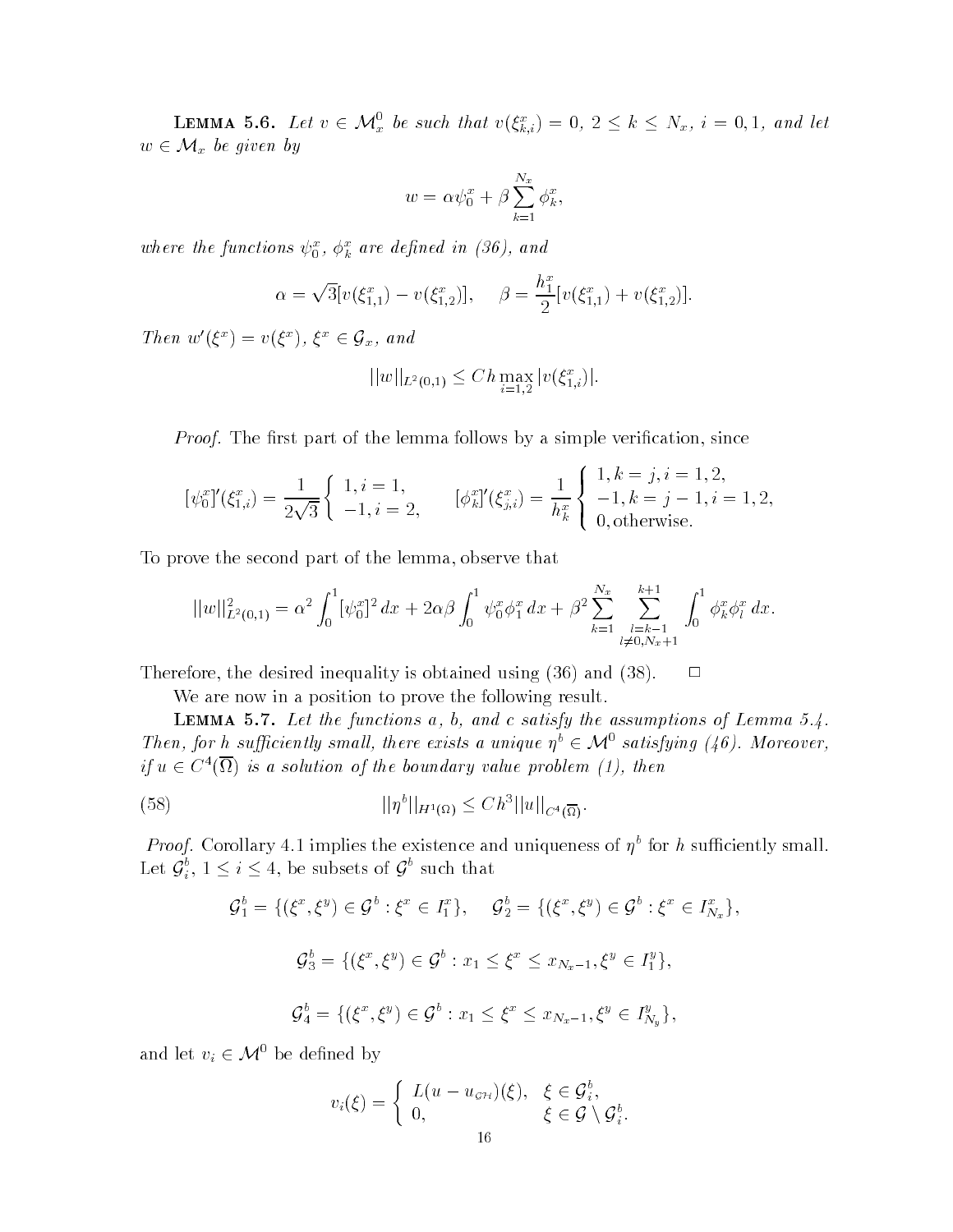**LEMMA 5.6.** Let  $v \in \mathcal{M}_x^0$  be such that  $v(\xi_{k,i}^x) = 0, 2 \leq k \leq N_x$ ,  $i = 0, 1$ , and let  $w \in \mathcal{M}_x$  be given by

$$
w = \alpha \psi_0^x + \beta \sum_{k=1}^{N_x} \phi_k^x,
$$

where the functions  $\psi_0^-, \varphi_k^+$  are defined in (50), and

$$
\alpha = \sqrt{3} [v(\xi_{1,1}^x) - v(\xi_{1,2}^x)], \quad \beta = \frac{h_1^x}{2} [v(\xi_{1,1}^x) + v(\xi_{1,2}^x)].
$$

Then  $w'(\xi^x) = v(\xi^x)$ ,  $\xi^x \in \mathcal{G}_x$ , and

$$
||w||_{L^2(0,1)} \le Ch \max_{i=1,2} |v(\xi_{1,i}^x)|.
$$

Proof- The rst part of the lemma follows by a simple verication since

$$
[\psi_0^x]'(\xi_{1,i}^x) = \frac{1}{2\sqrt{3}} \begin{cases} 1, i = 1, \\ -1, i = 2, \end{cases} [\phi_k^x]'(\xi_{j,i}^x) = \frac{1}{h_k^x} \begin{cases} 1, k = j, i = 1, 2, \\ -1, k = j - 1, i = 1, 2, \\ 0, \text{otherwise.} \end{cases}
$$

To prove the second part of the lemma observe that

$$
||w||_{L^{2}(0,1)}^{2} = \alpha^{2} \int_{0}^{1} [\psi_{0}^{x}]^{2} dx + 2\alpha\beta \int_{0}^{1} \psi_{0}^{x} \phi_{1}^{x} dx + \beta^{2} \sum_{k=1}^{N_{x}} \sum_{\substack{l=k-1 \\ l \neq 0, N_{x}+1}}^{k+1} \int_{0}^{1} \phi_{k}^{x} \phi_{l}^{x} dx.
$$

Therefore the desired inequality is obtained using  $\mathcal{L}(\mathbf{A})$  and  $\mathcal{L}(\mathbf{A})$ 

We are now in a position to prove the following result.

 $\blacksquare$  Lemma  $\blacksquare$  . Here the functions at  $\omega_1$  at and  $\omega$  satisfy the assumptions of Lemma size Then, for h sufficiently small, there exists a unique  $\eta^b \in \mathcal{M}^0$  satisfying (46). Moreover,  $it\ u\in C^{\infty}(\Omega)$  is a solution of the boundary value problem (1), then

(58) 
$$
||\eta^b||_{H^1(\Omega)} \leq C h^3 ||u||_{C^4(\overline{\Omega})}.
$$

*Proof*. Corollary 4.1 implies the existence and uniqueness of  $\eta$  for h sufficiently small. Let  ${\cal G}_i^o,$   $1\leq i\leq 4,$  be subsets of  ${\cal G}^o$  such that

$$
\mathcal{G}_1^b = \{ (\xi^x, \xi^y) \in \mathcal{G}^b : \xi^x \in I_1^x \}, \quad \mathcal{G}_2^b = \{ (\xi^x, \xi^y) \in \mathcal{G}^b : \xi^x \in I_{N_x}^x \},
$$
  

$$
\mathcal{G}_3^b = \{ (\xi^x, \xi^y) \in \mathcal{G}^b : x_1 \le \xi^x \le x_{N_x - 1}, \xi^y \in I_1^y \},
$$
  

$$
\mathcal{G}_4^b = \{ (\xi^x, \xi^y) \in \mathcal{G}^b : x_1 \le \xi^x \le x_{N_x - 1}, \xi^y \in I_{N_y}^y \},
$$

and let  $v_i \in \mathcal{M}^0$  be defined by

$$
v_i(\xi) = \begin{cases} L(u - u_{\sigma \mathcal{H}})(\xi), & \xi \in \mathcal{G}_i^b, \\ 0, & \xi \in \mathcal{G} \setminus \mathcal{G}_i^b. \end{cases}
$$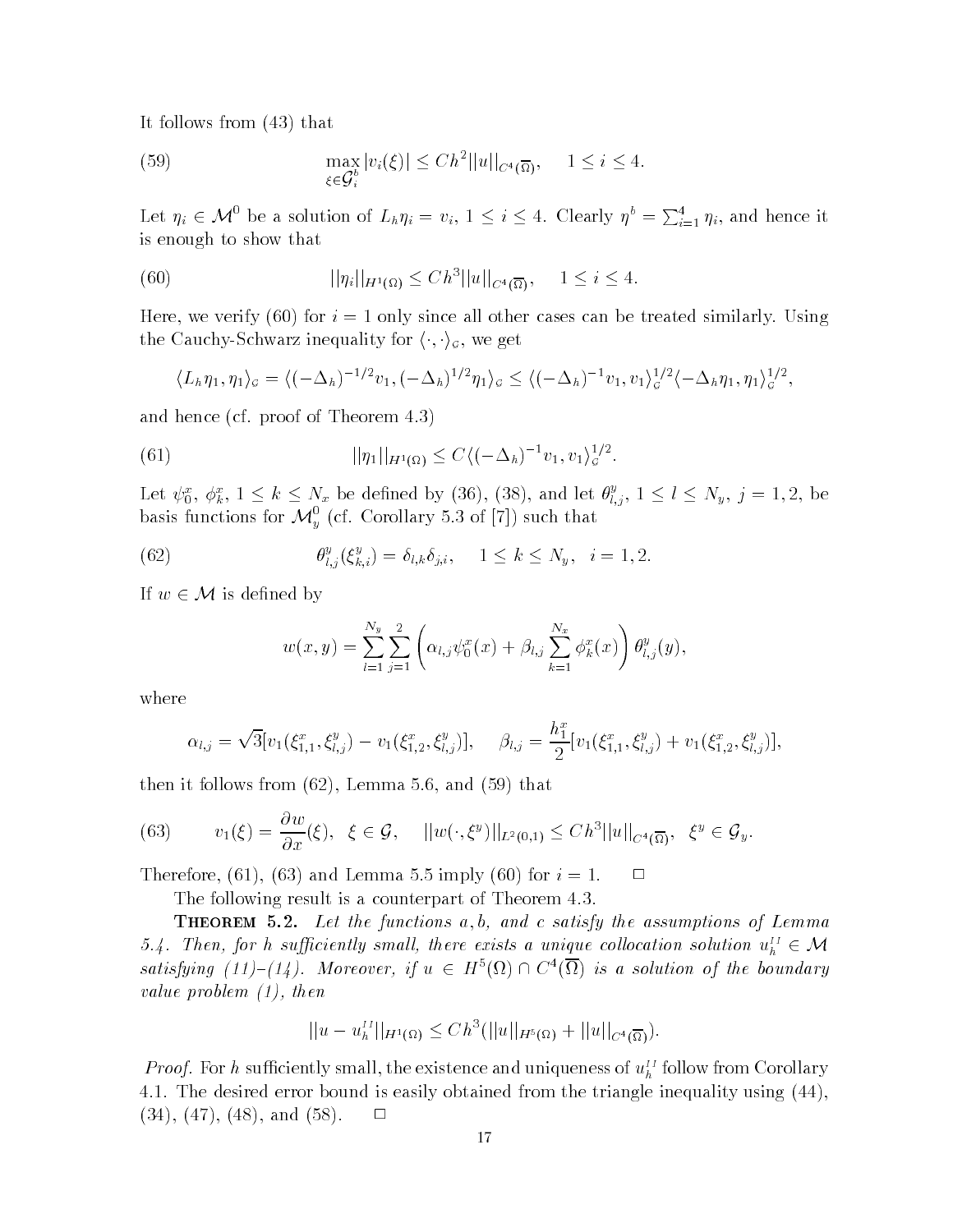It follows from - that

(59) 
$$
\max_{\xi \in \mathcal{G}_i^b} |v_i(\xi)| \leq C h^2 ||u||_{C^4(\overline{\Omega})}, \quad 1 \leq i \leq 4.
$$

Let  $\eta_i \in \mathcal{M}^0$  be a solution of  $L_h \eta_i = v_i$ ,  $1 \leq i \leq 4$ . Clearly  $\eta^b = \sum_{i=1}^4 \eta_i$ , and hence it is enough to show that

(60) 
$$
||\eta_i||_{H^1(\Omega)} \leq C h^3 ||u||_{C^4(\overline{\Omega})}, \quad 1 \leq i \leq 4.
$$

Here we verify - for i only since all other cases can be treated similarly Using the Cauchy-Schwarz inequality for  $\langle \cdot, \cdot \rangle_{\mathcal{G}}$ , we get

$$
\langle L_h \eta_1, \eta_1 \rangle_{\mathcal{G}} = \langle (-\Delta_h)^{-1/2} v_1, (-\Delta_h)^{1/2} \eta_1 \rangle_{\mathcal{G}} \le \langle (-\Delta_h)^{-1} v_1, v_1 \rangle_{\mathcal{G}}^{1/2} \langle -\Delta_h \eta_1, \eta_1 \rangle_{\mathcal{G}}^{1/2},
$$

and hence (cf. proof of Theorem  $4.3$ )

(61) 
$$
||\eta_1||_{H^1(\Omega)} \leq C \langle (-\Delta_h)^{-1} v_1, v_1 \rangle_{\mathcal{G}}^{1/2}.
$$

Let  $\psi_0^x$ ,  $\phi_k^x$ ,  $1 \leq k \leq N_x$  be defined by (36), (38), and let  $\theta_{l,j}^y$ ,  $1 \leq l \leq N_y$ ,  $j = 1,2$ , be basis functions for  $\mathcal{M}_{\nu}^{0}$  (cf. Corollary 5.3 of [7]) such that

(62) 
$$
\theta_{l,j}^y(\xi_{k,i}^y) = \delta_{l,k}\delta_{j,i}, \quad 1 \leq k \leq N_y, \quad i = 1, 2.
$$

If  $w \in \mathcal{M}$  is defined by

$$
w(x,y) = \sum_{l=1}^{N_y} \sum_{j=1}^{2} \left( \alpha_{l,j} \psi_0^x(x) + \beta_{l,j} \sum_{k=1}^{N_x} \phi_k^x(x) \right) \theta_{l,j}^y(y).
$$

where

$$
\alpha_{l,j} = \sqrt{3} [v_1(\xi_{1,1}^x, \xi_{l,j}^y) - v_1(\xi_{1,2}^x, \xi_{l,j}^y)], \quad \beta_{l,j} = \frac{h_1^x}{2} [v_1(\xi_{1,1}^x, \xi_{l,j}^y) + v_1(\xi_{1,2}^x, \xi_{l,j}^y)],
$$

then it follows from it follows from  $\mathbf{A}$  that follows from  $\mathbf{A}$  and  $\mathbf{A}$  and  $\mathbf{A}$  and  $\mathbf{A}$ 

(63) 
$$
v_1(\xi) = \frac{\partial w}{\partial x}(\xi), \quad \xi \in \mathcal{G}, \quad ||w(\cdot,\xi^y)||_{L^2(0,1)} \leq C h^3 ||u||_{C^4(\overline{\Omega})}, \quad \xi^y \in \mathcal{G}_y.
$$

 $\blacksquare$  . Therefore,  $\blacksquare$  is  $\blacksquare$  . Then is a continuous order that  $\blacksquare$  . The intervalse of  $\blacksquare$ 

The following result is a counterpart of Theorem 4.3.

**THEOREM** 5.2. Let the functions  $a, b, and c$  satisfy the assumptions of Lemma 5.4. Then, for h sufficiently small, there exists a unique collocation solution  $u_h^H \in \mathcal{M}$ satisfying (11)–(14). Moreover, if  $u \in H^{\circ(\Omega)} \cap C^{\alpha(\Omega)}$  is a solution of the boundary value problem then

$$
||u - u_h^{II}||_{H^1(\Omega)} \leq C h^3(||u||_{H^5(\Omega)} + ||u||_{C^4(\overline{\Omega})}).
$$

*Froof.* For h sufficiently small, the existence and uniqueness of  $u_h^1$  follow from Corollary  The desired error bound is easily obtained from the triangle inequality using -  $\Box$ - - - and the contract of the contract of the contract of the contract of the contract of the contract of the contract of the contract of the contract of the contract of the contract of the contract of the contract of the contract o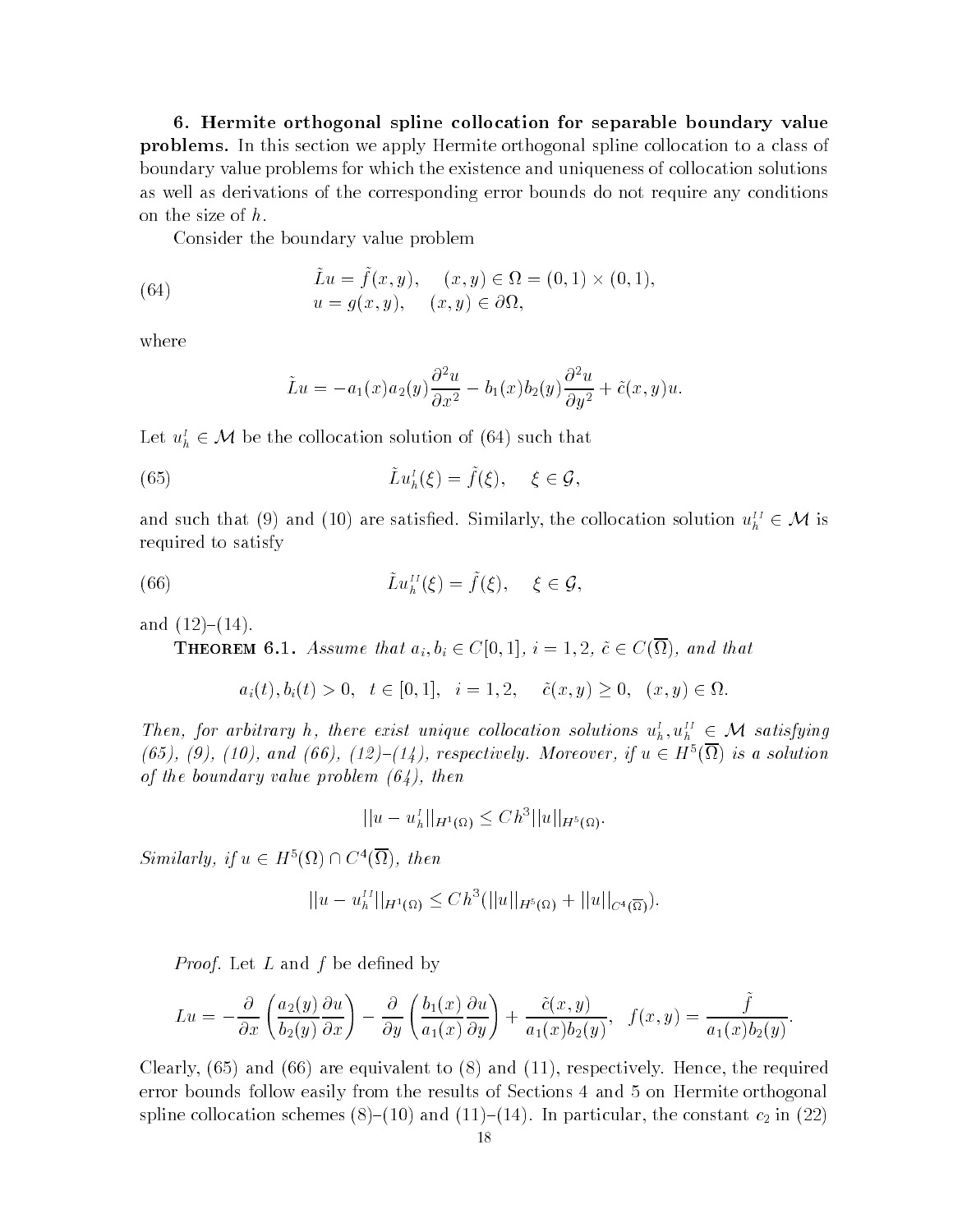- Hermite orthogonal spline collocation for separable boundary value problems- In this section we apply Hermite orthogonal spline collocation to a class of the collocation to a cla boundary value problems for which the existence and uniqueness of collocation solutions as well as derivations of the corresponding error bounds do not require any conditions on the size of  $h$ .

Consider the boundary value problem

(64) 
$$
\tilde{L}u = \tilde{f}(x, y), \quad (x, y) \in \Omega = (0, 1) \times (0, 1)
$$

$$
u = g(x, y), \quad (x, y) \in \partial\Omega,
$$

where

$$
\tilde{L}u = -a_1(x)a_2(y)\frac{\partial^2 u}{\partial x^2} - b_1(x)b_2(y)\frac{\partial^2 u}{\partial y^2} + \tilde{c}(x, y)u.
$$

Let  $u_h^I \in \mathcal{M}$  be the collocation solution of (64) such that

(65) 
$$
\tilde{L}u_h^I(\xi) = \tilde{f}(\xi), \quad \xi \in \mathcal{G},
$$

and such that (9) and (10) are satisfied. Similarly, the collocation solution  $u_h^H \in \mathcal{M}$  is required to satisfy

(66) 
$$
\tilde{L}u_h^{II}(\xi) = \tilde{f}(\xi), \quad \xi \in \mathcal{G},
$$

and the contract of the contract of the contract of the contract of the contract of the contract of the contract of the contract of the contract of the contract of the contract of the contract of the contract of the contra

**THEOREM 6.1.** Assume that  $a_i, b_i \in C[0, 1], i = 1, 2, c \in C(\Omega)$ , and that

$$
a_i(t), b_i(t) > 0, t \in [0,1], i = 1,2, \tilde{c}(x,y) \ge 0, (x,y) \in \Omega.
$$

Then, for arbitrary h, there exist unique collocation solutions  $u_h^I, u_h^{II} \in \mathcal{M}$  satisfying (65), (9), (10), and (66), (12)–(14), respectively. Moreover, if  $u \in H<sup>o</sup>(\Omega)$  is a solution of the boundary value problem  $(64)$ , then

$$
||u - uhI||_{H1(\Omega)} \leq C h3 ||u||_{H5(\Omega)}.
$$

 $Similarly, if u \in H^{\circ}(\Omega) \cap C^4(\Omega), then$ 

$$
||u - u_h^{II}||_{H^1(\Omega)} \leq C h^3(||u||_{H^5(\Omega)} + ||u||_{C^4(\overline{\Omega})}).
$$

Proof-by-book and f be denoted by denoted by denoted by denoted by denoted by denoted by denoted by denoted by

$$
Lu = -\frac{\partial}{\partial x}\left(\frac{a_2(y)}{b_2(y)}\frac{\partial u}{\partial x}\right) - \frac{\partial}{\partial y}\left(\frac{b_1(x)}{a_1(x)}\frac{\partial u}{\partial y}\right) + \frac{\tilde{c}(x,y)}{a_1(x)b_2(y)}, \quad f(x,y) = \frac{\tilde{f}}{a_1(x)b_2(y)}.
$$

e are equivalent to a control to a control of the requirement of the requirement of the requirement of the required error bounds follow easily from the results of Sections 4 and 5 on Hermite orthogonal spline collocation schemes -- and -- In particular the constant c in -